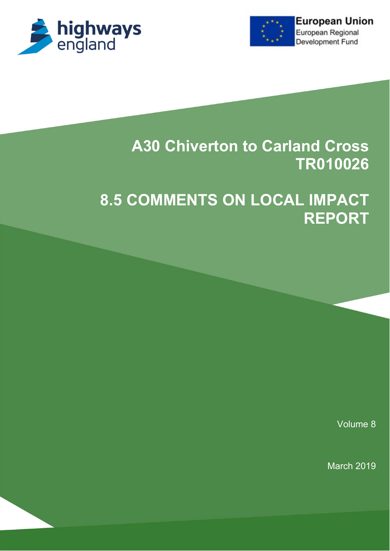



# **A30 Chiverton to Carland Cross TR010026**

# **8.5 COMMENTS ON LOCAL IMPACT REPORT**

Volume 8

March 2019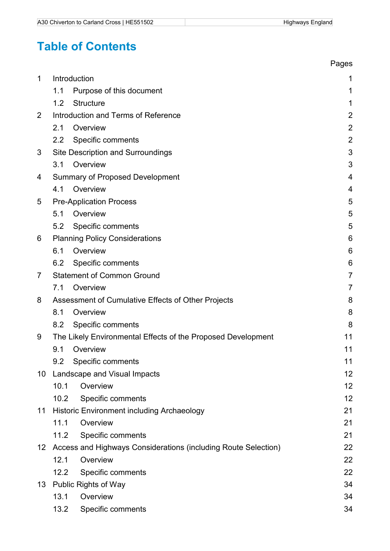## **Table of Contents**

|                |                                                                   | Pages          |
|----------------|-------------------------------------------------------------------|----------------|
| 1              | Introduction                                                      | 1              |
|                | 1.1<br>Purpose of this document                                   | 1              |
|                | 1.2<br><b>Structure</b>                                           | 1              |
| $\overline{2}$ | Introduction and Terms of Reference                               | 2              |
|                | 2.1<br>Overview                                                   | $\overline{2}$ |
|                | Specific comments<br>2.2                                          | $\overline{2}$ |
| 3              | <b>Site Description and Surroundings</b>                          | 3              |
|                | Overview<br>3.1                                                   | 3              |
| 4              | <b>Summary of Proposed Development</b>                            | 4              |
|                | Overview<br>4.1                                                   | 4              |
| 5              | <b>Pre-Application Process</b>                                    | 5              |
|                | Overview<br>5.1                                                   | 5              |
|                | Specific comments<br>5.2                                          | 5              |
| 6              | <b>Planning Policy Considerations</b>                             | 6              |
|                | 6.1<br>Overview                                                   | 6              |
|                | 6.2<br>Specific comments                                          | 6              |
| 7              | <b>Statement of Common Ground</b>                                 | 7              |
|                | 7.1<br>Overview                                                   | $\overline{7}$ |
| 8              | Assessment of Cumulative Effects of Other Projects                | 8              |
|                | 8.1<br>Overview                                                   | 8              |
|                | 8.2<br>Specific comments                                          | 8              |
| 9              | The Likely Environmental Effects of the Proposed Development      | 11             |
|                | 9.1<br>Overview                                                   | 11             |
|                | Specific comments<br>9.2                                          | 11             |
| 10             | Landscape and Visual Impacts                                      | 12             |
|                | 10.1<br>Overview                                                  | 12             |
|                | 10.2<br>Specific comments                                         | 12             |
| 11             | Historic Environment including Archaeology                        | 21             |
|                | 11.1<br>Overview                                                  | 21             |
|                | Specific comments<br>11.2                                         | 21             |
|                | 12 Access and Highways Considerations (including Route Selection) | 22             |
|                | 12.1<br>Overview                                                  | 22             |
|                | 12.2<br>Specific comments                                         | 22             |
| 13             | <b>Public Rights of Way</b>                                       | 34             |
|                | 13.1<br>Overview                                                  | 34             |
|                | Specific comments<br>13.2                                         | 34             |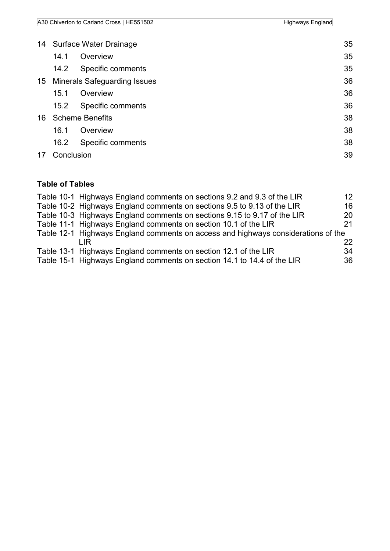|    |      | A30 Chiverton to Carland Cross   HE551502 | Highways England |
|----|------|-------------------------------------------|------------------|
|    |      |                                           |                  |
|    |      | 14 Surface Water Drainage                 | 35               |
|    | 14 1 | Overview                                  | 35               |
|    | 14.2 | Specific comments                         | 35               |
| 15 |      | <b>Minerals Safeguarding Issues</b>       | 36               |

|  | 15.1 | Overview               | 36 |
|--|------|------------------------|----|
|  |      | 15.2 Specific comments | 36 |
|  |      | 16 Scheme Benefits     | 38 |
|  |      | 16.1 Overview          | 38 |
|  |      | 16.2 Specific comments | 38 |

17 [Conclusion](#page-42-0) 39

### **Table of Tables**

| 12                                                                                                                                                                                                                                                                                                                                                                                                                                                                                                                                   |
|--------------------------------------------------------------------------------------------------------------------------------------------------------------------------------------------------------------------------------------------------------------------------------------------------------------------------------------------------------------------------------------------------------------------------------------------------------------------------------------------------------------------------------------|
| 16                                                                                                                                                                                                                                                                                                                                                                                                                                                                                                                                   |
| 20                                                                                                                                                                                                                                                                                                                                                                                                                                                                                                                                   |
| 21                                                                                                                                                                                                                                                                                                                                                                                                                                                                                                                                   |
|                                                                                                                                                                                                                                                                                                                                                                                                                                                                                                                                      |
| 22                                                                                                                                                                                                                                                                                                                                                                                                                                                                                                                                   |
| 34                                                                                                                                                                                                                                                                                                                                                                                                                                                                                                                                   |
| 36                                                                                                                                                                                                                                                                                                                                                                                                                                                                                                                                   |
| Table 10-1 Highways England comments on sections 9.2 and 9.3 of the LIR<br>Table 10-2 Highways England comments on sections 9.5 to 9.13 of the LIR<br>Table 10-3 Highways England comments on sections 9.15 to 9.17 of the LIR<br>Table 11-1 Highways England comments on section 10.1 of the LIR<br>Table 12-1 Highways England comments on access and highways considerations of the<br>Table 13-1 Highways England comments on section 12.1 of the LIR<br>Table 15-1 Highways England comments on section 14.1 to 14.4 of the LIR |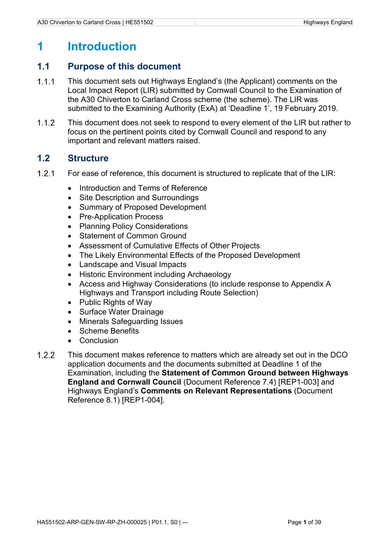## <span id="page-4-0"></span>**1 Introduction**

#### <span id="page-4-1"></span>**1.1 Purpose of this document**

- $1.1.1$ This document sets out Highways England's (the Applicant) comments on the Local Impact Report (LIR) submitted by Cornwall Council to the Examination of the A30 Chiverton to Carland Cross scheme (the scheme). The LIR was submitted to the Examining Authority (ExA) at 'Deadline 1', 19 February 2019.
- $1.1.2$ This document does not seek to respond to every element of the LIR but rather to focus on the pertinent points cited by Cornwall Council and respond to any important and relevant matters raised.

#### <span id="page-4-2"></span>**1.2 Structure**

- $1.2.1$ For ease of reference, this document is structured to replicate that of the LIR:
	- Introduction and Terms of Reference
	- Site Description and Surroundings
	- Summary of Proposed Development
	- Pre-Application Process
	- Planning Policy Considerations
	- Statement of Common Ground
	- Assessment of Cumulative Effects of Other Projects
	- The Likely Environmental Effects of the Proposed Development
	- Landscape and Visual Impacts
	- Historic Environment including Archaeology
	- Access and Highway Considerations (to include response to Appendix A Highways and Transport including Route Selection)
	- Public Rights of Way
	- Surface Water Drainage
	- Minerals Safeguarding Issues
	- Scheme Benefits
	- Conclusion
- $1.2.2$ This document makes reference to matters which are already set out in the DCO application documents and the documents submitted at Deadline 1 of the Examination, including the **Statement of Common Ground between Highways England and Cornwall Council** (Document Reference 7.4) [REP1-003] and Highways England's **Comments on Relevant Representations** (Document Reference 8.1) [REP1-004].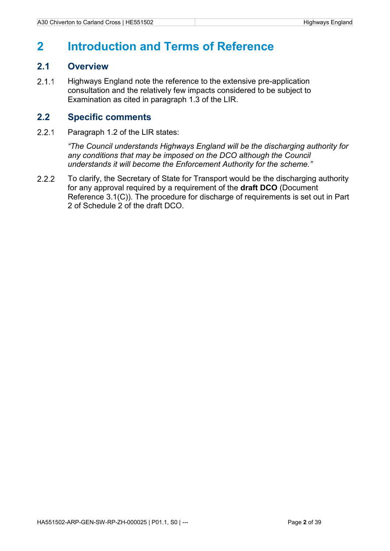### <span id="page-5-0"></span>**2 Introduction and Terms of Reference**

#### <span id="page-5-1"></span>**2.1 Overview**

 $2.1.1$ Highways England note the reference to the extensive pre-application consultation and the relatively few impacts considered to be subject to Examination as cited in paragraph 1.3 of the LIR.

#### <span id="page-5-2"></span>**2.2 Specific comments**

 $2.2.1$ Paragraph 1.2 of the LIR states:

> *"The Council understands Highways England will be the discharging authority for any conditions that may be imposed on the DCO although the Council understands it will become the Enforcement Authority for the scheme."*

 $2.2.2$ To clarify, the Secretary of State for Transport would be the discharging authority for any approval required by a requirement of the **draft DCO** (Document Reference 3.1(C)). The procedure for discharge of requirements is set out in Part 2 of Schedule 2 of the draft DCO.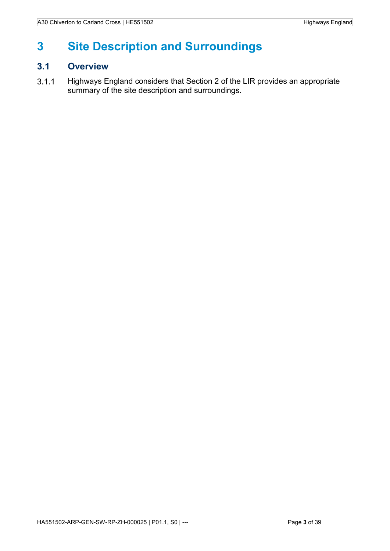## <span id="page-6-0"></span>**3 Site Description and Surroundings**

### <span id="page-6-1"></span>**3.1 Overview**

Highways England considers that Section 2 of the LIR provides an appropriate  $3.1.1$ summary of the site description and surroundings.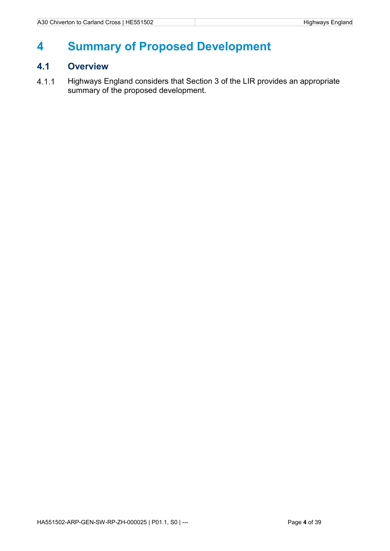## <span id="page-7-0"></span>**4 Summary of Proposed Development**

### <span id="page-7-1"></span>**4.1 Overview**

Highways England considers that Section 3 of the LIR provides an appropriate  $4.1.1$ summary of the proposed development.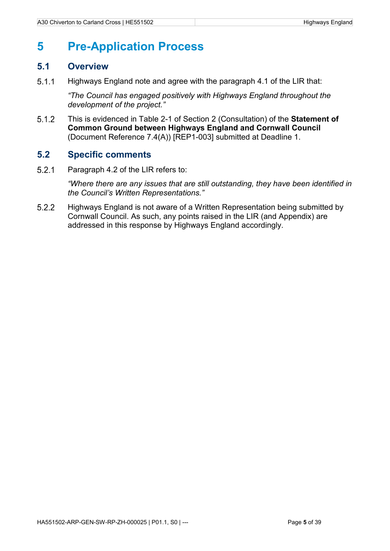## <span id="page-8-0"></span>**5 Pre-Application Process**

#### <span id="page-8-1"></span>**5.1 Overview**

 $5.1.1$ Highways England note and agree with the paragraph 4.1 of the LIR that:

> *"The Council has engaged positively with Highways England throughout the development of the project."*

 $5.1.2$ This is evidenced in Table 2-1 of Section 2 (Consultation) of the **Statement of Common Ground between Highways England and Cornwall Council** (Document Reference 7.4(A)) [REP1-003] submitted at Deadline 1.

### <span id="page-8-2"></span>**5.2 Specific comments**

 $521$ Paragraph 4.2 of the LIR refers to:

> *"Where there are any issues that are still outstanding, they have been identified in the Council's Written Representations."*

 $5.2.2$ Highways England is not aware of a Written Representation being submitted by Cornwall Council. As such, any points raised in the LIR (and Appendix) are addressed in this response by Highways England accordingly.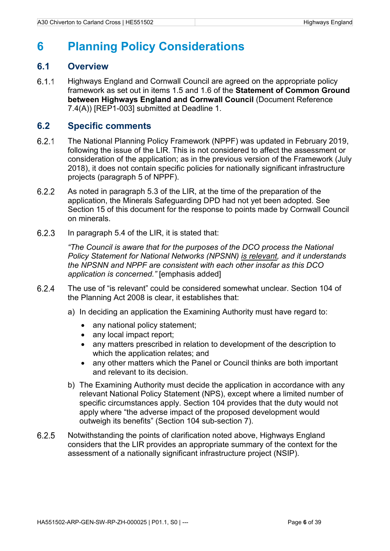## <span id="page-9-0"></span>**6 Planning Policy Considerations**

#### <span id="page-9-1"></span>**6.1 Overview**

 $6.1.1$ Highways England and Cornwall Council are agreed on the appropriate policy framework as set out in items 1.5 and 1.6 of the **Statement of Common Ground between Highways England and Cornwall Council** (Document Reference 7.4(A)) [REP1-003] submitted at Deadline 1.

### <span id="page-9-2"></span>**6.2 Specific comments**

- $6.2.1$ The National Planning Policy Framework (NPPF) was updated in February 2019, following the issue of the LIR. This is not considered to affect the assessment or consideration of the application; as in the previous version of the Framework (July 2018), it does not contain specific policies for nationally significant infrastructure projects (paragraph 5 of NPPF).
- $6.2.2$ As noted in paragraph 5.3 of the LIR, at the time of the preparation of the application, the Minerals Safeguarding DPD had not yet been adopted. See Section 15 of this document for the response to points made by Cornwall Council on minerals.
- $6.2.3$ In paragraph 5.4 of the LIR, it is stated that:

*"The Council is aware that for the purposes of the DCO process the National Policy Statement for National Networks (NPSNN) is relevant, and it understands the NPSNN and NPPF are consistent with each other insofar as this DCO application is concerned."* [emphasis added]

- $6.2.4$ The use of "is relevant" could be considered somewhat unclear. Section 104 of the Planning Act 2008 is clear, it establishes that:
	- a) In deciding an application the Examining Authority must have regard to:
		- any national policy statement;
		- any local impact report;
		- any matters prescribed in relation to development of the description to which the application relates; and
		- any other matters which the Panel or Council thinks are both important and relevant to its decision.
	- b) The Examining Authority must decide the application in accordance with any relevant National Policy Statement (NPS), except where a limited number of specific circumstances apply. Section 104 provides that the duty would not apply where "the adverse impact of the proposed development would outweigh its benefits" (Section 104 sub-section 7).
- 6.2.5 Notwithstanding the points of clarification noted above, Highways England considers that the LIR provides an appropriate summary of the context for the assessment of a nationally significant infrastructure project (NSIP).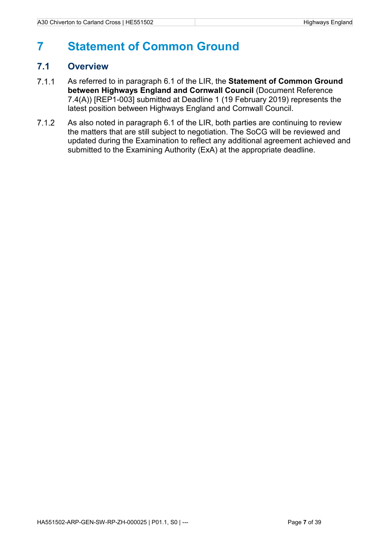## <span id="page-10-0"></span>**7 Statement of Common Ground**

### <span id="page-10-1"></span>**7.1 Overview**

- $7.1.1$ As referred to in paragraph 6.1 of the LIR, the **Statement of Common Ground between Highways England and Cornwall Council** (Document Reference 7.4(A)) [REP1-003] submitted at Deadline 1 (19 February 2019) represents the latest position between Highways England and Cornwall Council.
- $7.1.2$ As also noted in paragraph 6.1 of the LIR, both parties are continuing to review the matters that are still subject to negotiation. The SoCG will be reviewed and updated during the Examination to reflect any additional agreement achieved and submitted to the Examining Authority (ExA) at the appropriate deadline.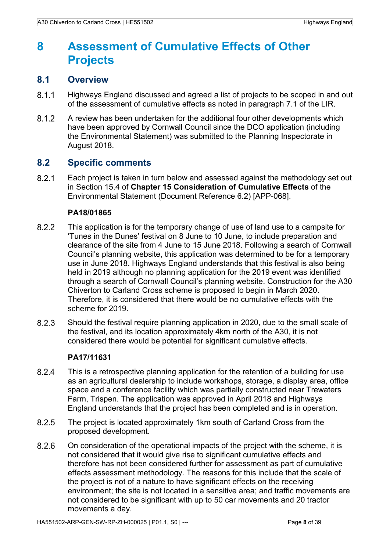## <span id="page-11-0"></span>**8 Assessment of Cumulative Effects of Other Projects**

#### <span id="page-11-1"></span>**8.1 Overview**

- $8.1.1$ Highways England discussed and agreed a list of projects to be scoped in and out of the assessment of cumulative effects as noted in paragraph 7.1 of the LIR.
- $8.1.2$ A review has been undertaken for the additional four other developments which have been approved by Cornwall Council since the DCO application (including the Environmental Statement) was submitted to the Planning Inspectorate in August 2018.

#### <span id="page-11-2"></span>**8.2 Specific comments**

 $8.2.1$ Each project is taken in turn below and assessed against the methodology set out in Section 15.4 of **Chapter 15 Consideration of Cumulative Effects** of the Environmental Statement (Document Reference 6.2) [APP-068].

#### **PA18/01865**

- 8.2.2 This application is for the temporary change of use of land use to a campsite for 'Tunes in the Dunes' festival on 8 June to 10 June, to include preparation and clearance of the site from 4 June to 15 June 2018. Following a search of Cornwall Council's planning website, this application was determined to be for a temporary use in June 2018. Highways England understands that this festival is also being held in 2019 although no planning application for the 2019 event was identified through a search of Cornwall Council's planning website. Construction for the A30 Chiverton to Carland Cross scheme is proposed to begin in March 2020. Therefore, it is considered that there would be no cumulative effects with the scheme for 2019.
- 8.2.3 Should the festival require planning application in 2020, due to the small scale of the festival, and its location approximately 4km north of the A30, it is not considered there would be potential for significant cumulative effects.

#### **PA17/11631**

- 8.2.4 This is a retrospective planning application for the retention of a building for use as an agricultural dealership to include workshops, storage, a display area, office space and a conference facility which was partially constructed near Trewaters Farm, Trispen. The application was approved in April 2018 and Highways England understands that the project has been completed and is in operation.
- The project is located approximately 1km south of Carland Cross from the 8.2.5 proposed development.
- 8.2.6 On consideration of the operational impacts of the project with the scheme, it is not considered that it would give rise to significant cumulative effects and therefore has not been considered further for assessment as part of cumulative effects assessment methodology. The reasons for this include that the scale of the project is not of a nature to have significant effects on the receiving environment; the site is not located in a sensitive area; and traffic movements are not considered to be significant with up to 50 car movements and 20 tractor movements a day.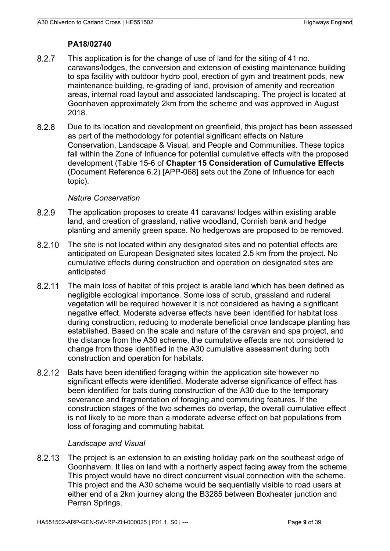#### **PA18/02740**

- 8.2.7 This application is for the change of use of land for the siting of 41 no. caravans/lodges, the conversion and extension of existing maintenance building to spa facility with outdoor hydro pool, erection of gym and treatment pods, new maintenance building, re-grading of land, provision of amenity and recreation areas, internal road layout and associated landscaping. The project is located at Goonhaven approximately 2km from the scheme and was approved in August 2018.
- 8.2.8 Due to its location and development on greenfield, this project has been assessed as part of the methodology for potential significant effects on Nature Conservation, Landscape & Visual, and People and Communities. These topics fall within the Zone of Influence for potential cumulative effects with the proposed development (Table 15-6 of **Chapter 15 Consideration of Cumulative Effects** (Document Reference 6.2) [APP-068] sets out the Zone of Influence for each topic).

#### *Nature Conservation*

- 8.2.9 The application proposes to create 41 caravans/ lodges within existing arable land, and creation of grassland, native woodland, Cornish bank and hedge planting and amenity green space. No hedgerows are proposed to be removed.
- The site is not located within any designated sites and no potential effects are 8.2.10 anticipated on European Designated sites located 2.5 km from the project. No cumulative effects during construction and operation on designated sites are anticipated.
- 8.2.11 The main loss of habitat of this project is arable land which has been defined as negligible ecological importance. Some loss of scrub, grassland and ruderal vegetation will be required however it is not considered as having a significant negative effect. Moderate adverse effects have been identified for habitat loss during construction, reducing to moderate beneficial once landscape planting has established. Based on the scale and nature of the caravan and spa project, and the distance from the A30 scheme, the cumulative effects are not considered to change from those identified in the A30 cumulative assessment during both construction and operation for habitats.
- 8.2.12 Bats have been identified foraging within the application site however no significant effects were identified. Moderate adverse significance of effect has been identified for bats during construction of the A30 due to the temporary severance and fragmentation of foraging and commuting features. If the construction stages of the two schemes do overlap, the overall cumulative effect is not likely to be more than a moderate adverse effect on bat populations from loss of foraging and commuting habitat.

#### *Landscape and Visual*

8.2.13 The project is an extension to an existing holiday park on the southeast edge of Goonhavern. It lies on land with a northerly aspect facing away from the scheme. This project would have no direct concurrent visual connection with the scheme. This project and the A30 scheme would be sequentially visible to road users at either end of a 2km journey along the B3285 between Boxheater junction and Perran Springs.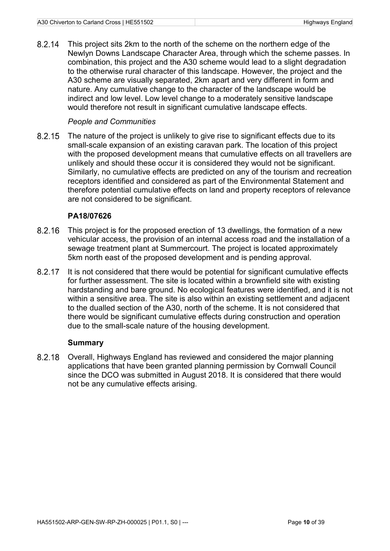This project sits 2km to the north of the scheme on the northern edge of the 8.2.14 Newlyn Downs Landscape Character Area, through which the scheme passes. In combination, this project and the A30 scheme would lead to a slight degradation to the otherwise rural character of this landscape. However, the project and the A30 scheme are visually separated, 2km apart and very different in form and nature. Any cumulative change to the character of the landscape would be indirect and low level. Low level change to a moderately sensitive landscape would therefore not result in significant cumulative landscape effects.

#### *People and Communities*

8.2.15 The nature of the project is unlikely to give rise to significant effects due to its small-scale expansion of an existing caravan park. The location of this project with the proposed development means that cumulative effects on all travellers are unlikely and should these occur it is considered they would not be significant. Similarly, no cumulative effects are predicted on any of the tourism and recreation receptors identified and considered as part of the Environmental Statement and therefore potential cumulative effects on land and property receptors of relevance are not considered to be significant.

#### **PA18/07626**

- This project is for the proposed erection of 13 dwellings, the formation of a new 8.2.16 vehicular access, the provision of an internal access road and the installation of a sewage treatment plant at Summercourt. The project is located approximately 5km north east of the proposed development and is pending approval.
- It is not considered that there would be potential for significant cumulative effects 8.2.17 for further assessment. The site is located within a brownfield site with existing hardstanding and bare ground. No ecological features were identified, and it is not within a sensitive area. The site is also within an existing settlement and adjacent to the dualled section of the A30, north of the scheme. It is not considered that there would be significant cumulative effects during construction and operation due to the small-scale nature of the housing development.

#### **Summary**

Overall, Highways England has reviewed and considered the major planning 8.2.18 applications that have been granted planning permission by Cornwall Council since the DCO was submitted in August 2018. It is considered that there would not be any cumulative effects arising.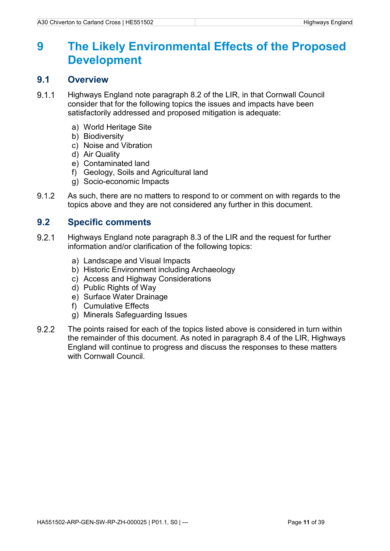## <span id="page-14-0"></span>**9 The Likely Environmental Effects of the Proposed Development**

#### <span id="page-14-1"></span>**9.1 Overview**

- $9.1.1$ Highways England note paragraph 8.2 of the LIR, in that Cornwall Council consider that for the following topics the issues and impacts have been satisfactorily addressed and proposed mitigation is adequate:
	- a) World Heritage Site
	- b) Biodiversity
	- c) Noise and Vibration
	- d) Air Quality
	- e) Contaminated land
	- f) Geology, Soils and Agricultural land
	- g) Socio-economic Impacts
- $9.1.2$ As such, there are no matters to respond to or comment on with regards to the topics above and they are not considered any further in this document.

### <span id="page-14-2"></span>**9.2 Specific comments**

- $9.2.1$ Highways England note paragraph 8.3 of the LIR and the request for further information and/or clarification of the following topics:
	- a) Landscape and Visual Impacts
	- b) Historic Environment including Archaeology
	- c) Access and Highway Considerations
	- d) Public Rights of Way
	- e) Surface Water Drainage
	- f) Cumulative Effects
	- g) Minerals Safeguarding Issues
- $9.2.2$ The points raised for each of the topics listed above is considered in turn within the remainder of this document. As noted in paragraph 8.4 of the LIR, Highways England will continue to progress and discuss the responses to these matters with Cornwall Council.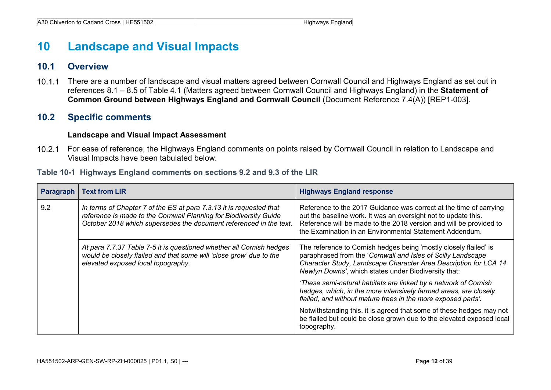### **10 Landscape and Visual Impacts**

#### **10.1 Overview**

 $10.1.1$ There are a number of landscape and visual matters agreed between Cornwall Council and Highways England as set out in references 8.1 – 8.5 of Table 4.1 (Matters agreed between Cornwall Council and Highways England) in the **Statement of Common Ground between Highways England and Cornwall Council** (Document Reference 7.4(A)) [REP1-003].

### **10.2 Specific comments**

#### **Landscape and Visual Impact Assessment**

For ease of reference, the Highways England comments on points raised by Cornwall Council in relation to Landscape and Visual Impacts have been tabulated below.

#### **Table 10-1 Highways England comments on sections 9.2 and 9.3 of the LIR**

<span id="page-15-3"></span><span id="page-15-2"></span><span id="page-15-1"></span><span id="page-15-0"></span>

| Paragraph | <b>Text from LIR</b>                                                                                                                                                                                           | <b>Highways England response</b>                                                                                                                                                                                                                                      |
|-----------|----------------------------------------------------------------------------------------------------------------------------------------------------------------------------------------------------------------|-----------------------------------------------------------------------------------------------------------------------------------------------------------------------------------------------------------------------------------------------------------------------|
| 9.2       | In terms of Chapter 7 of the ES at para 7.3.13 it is requested that<br>reference is made to the Cornwall Planning for Biodiversity Guide<br>October 2018 which supersedes the document referenced in the text. | Reference to the 2017 Guidance was correct at the time of carrying<br>out the baseline work. It was an oversight not to update this.<br>Reference will be made to the 2018 version and will be provided to<br>the Examination in an Environmental Statement Addendum. |
|           | At para 7.7.37 Table 7-5 it is questioned whether all Cornish hedges<br>would be closely flailed and that some will 'close grow' due to the<br>elevated exposed local topography.                              | The reference to Cornish hedges being 'mostly closely flailed' is<br>paraphrased from the 'Cornwall and Isles of Scilly Landscape<br>Character Study, Landscape Character Area Description for LCA 14<br>Newlyn Downs', which states under Biodiversity that:         |
|           |                                                                                                                                                                                                                | 'These semi-natural habitats are linked by a network of Cornish<br>hedges, which, in the more intensively farmed areas, are closely<br>flailed, and without mature trees in the more exposed parts'.                                                                  |
|           |                                                                                                                                                                                                                | Notwithstanding this, it is agreed that some of these hedges may not<br>be flailed but could be close grown due to the elevated exposed local<br>topography.                                                                                                          |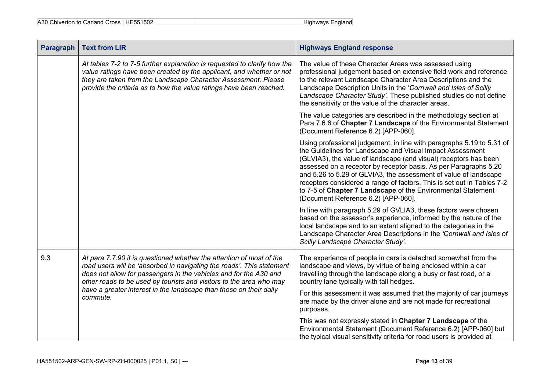| <b>Paragraph</b> | <b>Text from LIR</b>                                                                                                                                                                                                                                                                      | <b>Highways England response</b>                                                                                                                                                                                                                                                                                                                                                                                                                                                                                                |
|------------------|-------------------------------------------------------------------------------------------------------------------------------------------------------------------------------------------------------------------------------------------------------------------------------------------|---------------------------------------------------------------------------------------------------------------------------------------------------------------------------------------------------------------------------------------------------------------------------------------------------------------------------------------------------------------------------------------------------------------------------------------------------------------------------------------------------------------------------------|
|                  | At tables 7-2 to 7-5 further explanation is requested to clarify how the<br>value ratings have been created by the applicant, and whether or not<br>they are taken from the Landscape Character Assessment. Please<br>provide the criteria as to how the value ratings have been reached. | The value of these Character Areas was assessed using<br>professional judgement based on extensive field work and reference<br>to the relevant Landscape Character Area Descriptions and the<br>Landscape Description Units in the 'Cornwall and Isles of Scilly<br>Landscape Character Study'. These published studies do not define<br>the sensitivity or the value of the character areas.                                                                                                                                   |
|                  |                                                                                                                                                                                                                                                                                           | The value categories are described in the methodology section at<br>Para 7.6.6 of Chapter 7 Landscape of the Environmental Statement<br>(Document Reference 6.2) [APP-060].                                                                                                                                                                                                                                                                                                                                                     |
|                  |                                                                                                                                                                                                                                                                                           | Using professional judgement, in line with paragraphs 5.19 to 5.31 of<br>the Guidelines for Landscape and Visual Impact Assessment<br>(GLVIA3), the value of landscape (and visual) receptors has been<br>assessed on a receptor by receptor basis. As per Paragraphs 5.20<br>and 5.26 to 5.29 of GLVIA3, the assessment of value of landscape<br>receptors considered a range of factors. This is set out in Tables 7-2<br>to 7-5 of Chapter 7 Landscape of the Environmental Statement<br>(Document Reference 6.2) [APP-060]. |
|                  |                                                                                                                                                                                                                                                                                           | In line with paragraph 5.29 of GVLIA3, these factors were chosen<br>based on the assessor's experience, informed by the nature of the<br>local landscape and to an extent aligned to the categories in the<br>Landscape Character Area Descriptions in the 'Cornwall and Isles of<br>Scilly Landscape Character Study'.                                                                                                                                                                                                         |
| 9.3              | At para 7.7.90 it is questioned whether the attention of most of the<br>road users will be 'absorbed in navigating the roads'. This statement<br>does not allow for passengers in the vehicles and for the A30 and<br>other roads to be used by tourists and visitors to the area who may | The experience of people in cars is detached somewhat from the<br>landscape and views, by virtue of being enclosed within a car<br>travelling through the landscape along a busy or fast road, or a<br>country lane typically with tall hedges.                                                                                                                                                                                                                                                                                 |
|                  | have a greater interest in the landscape than those on their daily<br>commute.                                                                                                                                                                                                            | For this assessment it was assumed that the majority of car journeys<br>are made by the driver alone and are not made for recreational<br>purposes.                                                                                                                                                                                                                                                                                                                                                                             |
|                  |                                                                                                                                                                                                                                                                                           | This was not expressly stated in Chapter 7 Landscape of the<br>Environmental Statement (Document Reference 6.2) [APP-060] but<br>the typical visual sensitivity criteria for road users is provided at                                                                                                                                                                                                                                                                                                                          |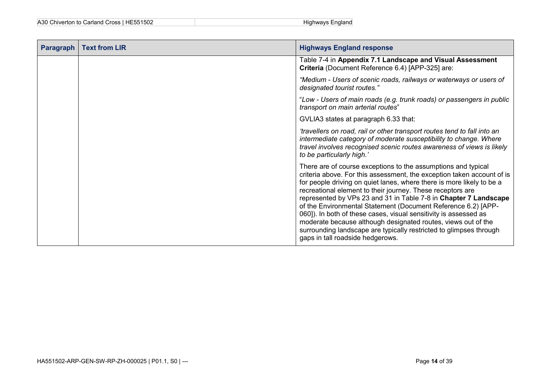| A30 Chiverton to Carland Cross   HE551502 | Highways England |
|-------------------------------------------|------------------|
|-------------------------------------------|------------------|

| <b>Paragraph</b> | <b>Text from LIR</b> | <b>Highways England response</b>                                                                                                                                                                                                                                                                                                                                                                                                                                                                                                                                                                                                                                   |
|------------------|----------------------|--------------------------------------------------------------------------------------------------------------------------------------------------------------------------------------------------------------------------------------------------------------------------------------------------------------------------------------------------------------------------------------------------------------------------------------------------------------------------------------------------------------------------------------------------------------------------------------------------------------------------------------------------------------------|
|                  |                      | Table 7-4 in Appendix 7.1 Landscape and Visual Assessment<br>Criteria (Document Reference 6.4) [APP-325] are:                                                                                                                                                                                                                                                                                                                                                                                                                                                                                                                                                      |
|                  |                      | "Medium - Users of scenic roads, railways or waterways or users of<br>designated tourist routes."                                                                                                                                                                                                                                                                                                                                                                                                                                                                                                                                                                  |
|                  |                      | "Low - Users of main roads (e.g. trunk roads) or passengers in public<br>transport on main arterial routes"                                                                                                                                                                                                                                                                                                                                                                                                                                                                                                                                                        |
|                  |                      | GVLIA3 states at paragraph 6.33 that:                                                                                                                                                                                                                                                                                                                                                                                                                                                                                                                                                                                                                              |
|                  |                      | 'travellers on road, rail or other transport routes tend to fall into an<br>intermediate category of moderate susceptibility to change. Where<br>travel involves recognised scenic routes awareness of views is likely<br>to be particularly high.'                                                                                                                                                                                                                                                                                                                                                                                                                |
|                  |                      | There are of course exceptions to the assumptions and typical<br>criteria above. For this assessment, the exception taken account of is<br>for people driving on quiet lanes, where there is more likely to be a<br>recreational element to their journey. These receptors are<br>represented by VPs 23 and 31 in Table 7-8 in Chapter 7 Landscape<br>of the Environmental Statement (Document Reference 6.2) [APP-<br>060]). In both of these cases, visual sensitivity is assessed as<br>moderate because although designated routes, views out of the<br>surrounding landscape are typically restricted to glimpses through<br>gaps in tall roadside hedgerows. |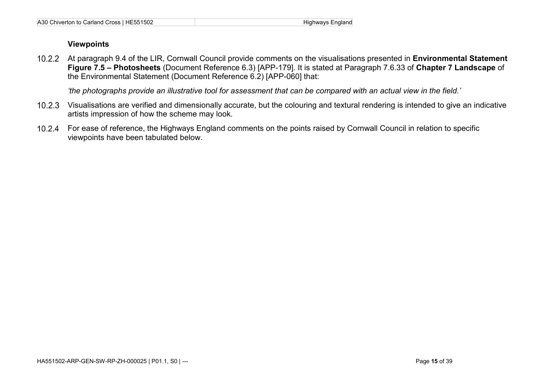#### **Viewpoints**

At paragraph 9.4 of the LIR, Cornwall Council provide comments on the visualisations presented in **Environmental Statement Figure 7.5 – Photosheets** (Document Reference 6.3) [APP-179]. It is stated at Paragraph 7.6.33 of **Chapter 7 Landscape** of the Environmental Statement (Document Reference 6.2) [APP-060] that:

*'the photographs provide an illustrative tool for assessment that can be compared with an actual view in the field.'*

- Visualisations are verified and dimensionally accurate, but the colouring and textural rendering is intended to give an indicative artists impression of how the scheme may look.
- For ease of reference, the Highways England comments on the points raised by Cornwall Council in relation to specific viewpoints have been tabulated below.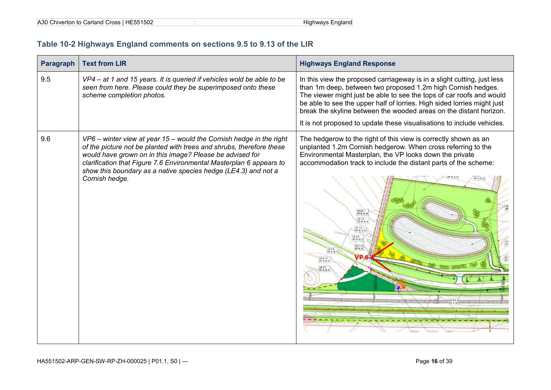| A30 Chiverton to Carland Cross   HE551502 | Highways England |
|-------------------------------------------|------------------|
|-------------------------------------------|------------------|

### **Table 10-2 Highways England comments on sections 9.5 to 9.13 of the LIR**

<span id="page-19-0"></span>

| <b>Paragraph</b> | <b>Text from LIR</b>                                                                                                                                                                                                                                                                                                                                                 | <b>Highways England Response</b>                                                                                                                                                                                                                                                                                                                                                                                                           |
|------------------|----------------------------------------------------------------------------------------------------------------------------------------------------------------------------------------------------------------------------------------------------------------------------------------------------------------------------------------------------------------------|--------------------------------------------------------------------------------------------------------------------------------------------------------------------------------------------------------------------------------------------------------------------------------------------------------------------------------------------------------------------------------------------------------------------------------------------|
| 9.5              | VP4 – at 1 and 15 years. It is queried if vehicles wold be able to be<br>seen from here. Please could they be superimposed onto these<br>scheme completion photos.                                                                                                                                                                                                   | In this view the proposed carriageway is in a slight cutting, just less<br>than 1m deep, between two proposed 1.2m high Cornish hedges.<br>The viewer might just be able to see the tops of car roofs and would<br>be able to see the upper half of lorries. High sided lorries might just<br>break the skyline between the wooded areas on the distant horizon.<br>It is not proposed to update these visualisations to include vehicles. |
| 9.6              | $VP6$ – winter view at year 15 – would the Cornish hedge in the right<br>of the picture not be planted with trees and shrubs, therefore these<br>would have grown on in this image? Please be advised for<br>clarification that Figure 7.6 Environmental Masterplan 6 appears to<br>show this boundary as a native species hedge (LE4.3) and not a<br>Cornish hedge. | The hedgerow to the right of this view is correctly shown as an<br>unplanted 1.2m Cornish hedgerow. When cross referring to the<br>Environmental Masterplan, the VP looks down the private<br>accommodation track to include the distant parts of the scheme:<br>EF A, B, D<br>LE 6.2<br>LE 1,8<br>EF B, D, E<br>LE 1,3<br>LE 4.6<br>EF A, B, D<br>LE 7.1.2<br>EF K.D<br>LE 2.4<br>LE 2.1.1<br>EF A, B, D<br>LE 2.2<br>EF A, B, D          |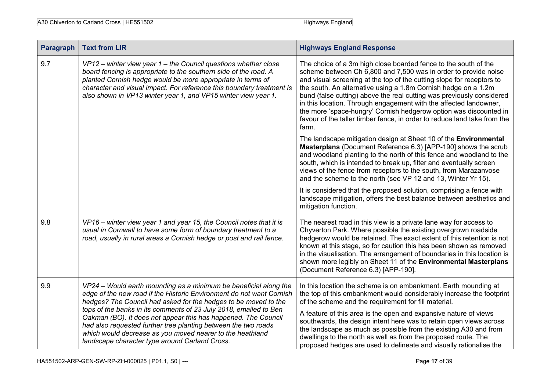| <b>Paragraph</b> | <b>Text from LIR</b>                                                                                                                                                                                                                                                                                                                                                                                                                                                                                                                | <b>Highways England Response</b>                                                                                                                                                                                                                                                                                                                                                                                                                                                                                                                                                      |
|------------------|-------------------------------------------------------------------------------------------------------------------------------------------------------------------------------------------------------------------------------------------------------------------------------------------------------------------------------------------------------------------------------------------------------------------------------------------------------------------------------------------------------------------------------------|---------------------------------------------------------------------------------------------------------------------------------------------------------------------------------------------------------------------------------------------------------------------------------------------------------------------------------------------------------------------------------------------------------------------------------------------------------------------------------------------------------------------------------------------------------------------------------------|
| 9.7              | $VP12$ – winter view year 1 – the Council questions whether close<br>board fencing is appropriate to the southern side of the road. A<br>planted Cornish hedge would be more appropriate in terms of<br>character and visual impact. For reference this boundary treatment is<br>also shown in VP13 winter year 1, and VP15 winter view year 1.                                                                                                                                                                                     | The choice of a 3m high close boarded fence to the south of the<br>scheme between Ch 6,800 and 7,500 was in order to provide noise<br>and visual screening at the top of the cutting slope for receptors to<br>the south. An alternative using a 1.8m Cornish hedge on a 1.2m<br>bund (false cutting) above the real cutting was previously considered<br>in this location. Through engagement with the affected landowner,<br>the more 'space-hungry' Cornish hedgerow option was discounted in<br>favour of the taller timber fence, in order to reduce land take from the<br>farm. |
|                  |                                                                                                                                                                                                                                                                                                                                                                                                                                                                                                                                     | The landscape mitigation design at Sheet 10 of the Environmental<br>Masterplans (Document Reference 6.3) [APP-190] shows the scrub<br>and woodland planting to the north of this fence and woodland to the<br>south, which is intended to break up, filter and eventually screen<br>views of the fence from receptors to the south, from Marazanvose<br>and the scheme to the north (see VP 12 and 13, Winter Yr 15).                                                                                                                                                                 |
|                  |                                                                                                                                                                                                                                                                                                                                                                                                                                                                                                                                     | It is considered that the proposed solution, comprising a fence with<br>landscape mitigation, offers the best balance between aesthetics and<br>mitigation function.                                                                                                                                                                                                                                                                                                                                                                                                                  |
| 9.8              | VP16 - winter view year 1 and year 15, the Council notes that it is<br>usual in Cornwall to have some form of boundary treatment to a<br>road, usually in rural areas a Cornish hedge or post and rail fence.                                                                                                                                                                                                                                                                                                                       | The nearest road in this view is a private lane way for access to<br>Chyverton Park. Where possible the existing overgrown roadside<br>hedgerow would be retained. The exact extent of this retention is not<br>known at this stage, so for caution this has been shown as removed<br>in the visualisation. The arrangement of boundaries in this location is<br>shown more legibly on Sheet 11 of the Environmental Masterplans<br>(Document Reference 6.3) [APP-190].                                                                                                               |
| 9.9              | VP24 - Would earth mounding as a minimum be beneficial along the<br>edge of the new road if the Historic Environment do not want Cornish<br>hedges? The Council had asked for the hedges to be moved to the<br>tops of the banks in its comments of 23 July 2018, emailed to Ben<br>Oakman (BO). It does not appear this has happened. The Council<br>had also requested further tree planting between the two roads<br>which would decrease as you moved nearer to the heathland<br>landscape character type around Carland Cross. | In this location the scheme is on embankment. Earth mounding at<br>the top of this embankment would considerably increase the footprint<br>of the scheme and the requirement for fill material.<br>A feature of this area is the open and expansive nature of views<br>southwards, the design intent here was to retain open views across<br>the landscape as much as possible from the existing A30 and from<br>dwellings to the north as well as from the proposed route. The<br>proposed hedges are used to delineate and visually rationalise the                                 |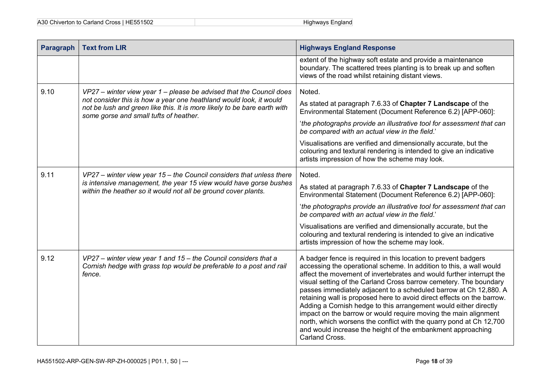| <b>Paragraph</b> | <b>Text from LIR</b>                                                                                                                                                                                                                                            | <b>Highways England Response</b>                                                                                                                                                                                                                                                                                                                                                                                                                                                                                                                                                                                                                                                                                                 |
|------------------|-----------------------------------------------------------------------------------------------------------------------------------------------------------------------------------------------------------------------------------------------------------------|----------------------------------------------------------------------------------------------------------------------------------------------------------------------------------------------------------------------------------------------------------------------------------------------------------------------------------------------------------------------------------------------------------------------------------------------------------------------------------------------------------------------------------------------------------------------------------------------------------------------------------------------------------------------------------------------------------------------------------|
|                  |                                                                                                                                                                                                                                                                 | extent of the highway soft estate and provide a maintenance<br>boundary. The scattered trees planting is to break up and soften<br>views of the road whilst retaining distant views.                                                                                                                                                                                                                                                                                                                                                                                                                                                                                                                                             |
| 9.10             | VP27 – winter view year 1 – please be advised that the Council does<br>not consider this is how a year one heathland would look, it would<br>not be lush and green like this. It is more likely to be bare earth with<br>some gorse and small tufts of heather. | Noted.                                                                                                                                                                                                                                                                                                                                                                                                                                                                                                                                                                                                                                                                                                                           |
|                  |                                                                                                                                                                                                                                                                 | As stated at paragraph 7.6.33 of Chapter 7 Landscape of the<br>Environmental Statement (Document Reference 6.2) [APP-060]:                                                                                                                                                                                                                                                                                                                                                                                                                                                                                                                                                                                                       |
|                  |                                                                                                                                                                                                                                                                 | 'the photographs provide an illustrative tool for assessment that can<br>be compared with an actual view in the field.'                                                                                                                                                                                                                                                                                                                                                                                                                                                                                                                                                                                                          |
|                  |                                                                                                                                                                                                                                                                 | Visualisations are verified and dimensionally accurate, but the<br>colouring and textural rendering is intended to give an indicative<br>artists impression of how the scheme may look.                                                                                                                                                                                                                                                                                                                                                                                                                                                                                                                                          |
| 9.11             | VP27 - winter view year 15 - the Council considers that unless there<br>is intensive management, the year 15 view would have gorse bushes<br>within the heather so it would not all be ground cover plants.                                                     | Noted.                                                                                                                                                                                                                                                                                                                                                                                                                                                                                                                                                                                                                                                                                                                           |
|                  |                                                                                                                                                                                                                                                                 | As stated at paragraph 7.6.33 of Chapter 7 Landscape of the<br>Environmental Statement (Document Reference 6.2) [APP-060]:                                                                                                                                                                                                                                                                                                                                                                                                                                                                                                                                                                                                       |
|                  |                                                                                                                                                                                                                                                                 | 'the photographs provide an illustrative tool for assessment that can<br>be compared with an actual view in the field.'                                                                                                                                                                                                                                                                                                                                                                                                                                                                                                                                                                                                          |
|                  |                                                                                                                                                                                                                                                                 | Visualisations are verified and dimensionally accurate, but the<br>colouring and textural rendering is intended to give an indicative<br>artists impression of how the scheme may look.                                                                                                                                                                                                                                                                                                                                                                                                                                                                                                                                          |
| 9.12             | VP27 - winter view year 1 and 15 - the Council considers that a<br>Cornish hedge with grass top would be preferable to a post and rail<br>fence.                                                                                                                | A badger fence is required in this location to prevent badgers<br>accessing the operational scheme. In addition to this, a wall would<br>affect the movement of invertebrates and would further interrupt the<br>visual setting of the Carland Cross barrow cemetery. The boundary<br>passes immediately adjacent to a scheduled barrow at Ch 12,880. A<br>retaining wall is proposed here to avoid direct effects on the barrow.<br>Adding a Cornish hedge to this arrangement would either directly<br>impact on the barrow or would require moving the main alignment<br>north, which worsens the conflict with the quarry pond at Ch 12,700<br>and would increase the height of the embankment approaching<br>Carland Cross. |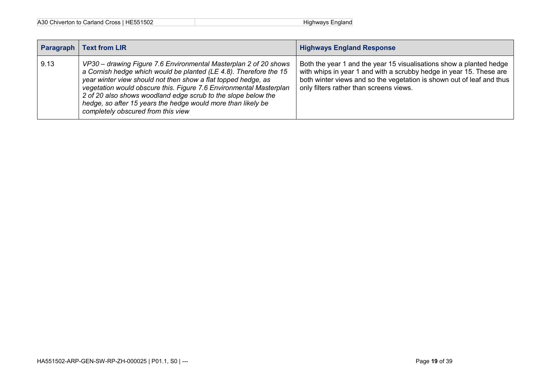| Paragraph | <b>Text from LIR</b>                                                                                                                                                                                                                                                                                                                                                                                                                                | <b>Highways England Response</b>                                                                                                                                                                                                                               |
|-----------|-----------------------------------------------------------------------------------------------------------------------------------------------------------------------------------------------------------------------------------------------------------------------------------------------------------------------------------------------------------------------------------------------------------------------------------------------------|----------------------------------------------------------------------------------------------------------------------------------------------------------------------------------------------------------------------------------------------------------------|
| 9.13      | VP30 – drawing Figure 7.6 Environmental Masterplan 2 of 20 shows<br>a Cornish hedge which would be planted (LE 4.8). Therefore the 15<br>year winter view should not then show a flat topped hedge, as<br>vegetation would obscure this. Figure 7.6 Environmental Masterplan<br>2 of 20 also shows woodland edge scrub to the slope below the<br>hedge, so after 15 years the hedge would more than likely be<br>completely obscured from this view | Both the year 1 and the year 15 visualisations show a planted hedge<br>with whips in year 1 and with a scrubby hedge in year 15. These are<br>both winter views and so the vegetation is shown out of leaf and thus<br>only filters rather than screens views. |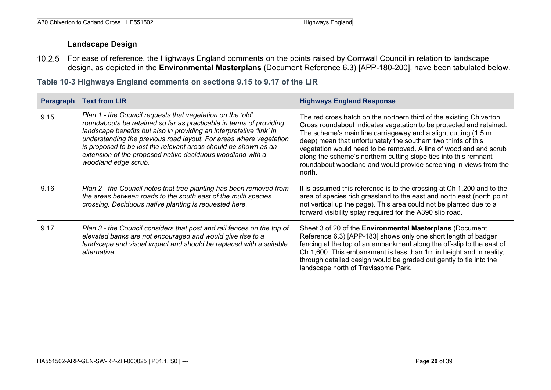#### **Landscape Design**

For ease of reference, the Highways England comments on the points raised by Cornwall Council in relation to landscape design, as depicted in the **Environmental Masterplans** (Document Reference 6.3) [APP-180-200], have been tabulated below.

**Table 10-3 Highways England comments on sections 9.15 to 9.17 of the LIR**

<span id="page-23-0"></span>

| <b>Paragraph</b> | <b>Text from LIR</b>                                                                                                                                                                                                                                                                                                                                                                                                                     | <b>Highways England Response</b>                                                                                                                                                                                                                                                                                                                                                                                                                                                                      |
|------------------|------------------------------------------------------------------------------------------------------------------------------------------------------------------------------------------------------------------------------------------------------------------------------------------------------------------------------------------------------------------------------------------------------------------------------------------|-------------------------------------------------------------------------------------------------------------------------------------------------------------------------------------------------------------------------------------------------------------------------------------------------------------------------------------------------------------------------------------------------------------------------------------------------------------------------------------------------------|
| 9.15             | Plan 1 - the Council requests that vegetation on the 'old'<br>roundabouts be retained so far as practicable in terms of providing<br>landscape benefits but also in providing an interpretative 'link' in<br>understanding the previous road layout. For areas where vegetation<br>is proposed to be lost the relevant areas should be shown as an<br>extension of the proposed native deciduous woodland with a<br>woodland edge scrub. | The red cross hatch on the northern third of the existing Chiverton<br>Cross roundabout indicates vegetation to be protected and retained.<br>The scheme's main line carriageway and a slight cutting (1.5 m<br>deep) mean that unfortunately the southern two thirds of this<br>vegetation would need to be removed. A line of woodland and scrub<br>along the scheme's northern cutting slope ties into this remnant<br>roundabout woodland and would provide screening in views from the<br>north. |
| 9.16             | Plan 2 - the Council notes that tree planting has been removed from<br>the areas between roads to the south east of the multi species<br>crossing. Deciduous native planting is requested here.                                                                                                                                                                                                                                          | It is assumed this reference is to the crossing at Ch 1,200 and to the<br>area of species rich grassland to the east and north east (north point<br>not vertical up the page). This area could not be planted due to a<br>forward visibility splay required for the A390 slip road.                                                                                                                                                                                                                   |
| 9.17             | Plan 3 - the Council considers that post and rail fences on the top of<br>elevated banks are not encouraged and would give rise to a<br>landscape and visual impact and should be replaced with a suitable<br>alternative.                                                                                                                                                                                                               | Sheet 3 of 20 of the <b>Environmental Masterplans</b> (Document<br>Reference 6.3) [APP-183] shows only one short length of badger<br>fencing at the top of an embankment along the off-slip to the east of<br>Ch 1,600. This embankment is less than 1m in height and in reality,<br>through detailed design would be graded out gently to tie into the<br>landscape north of Trevissome Park.                                                                                                        |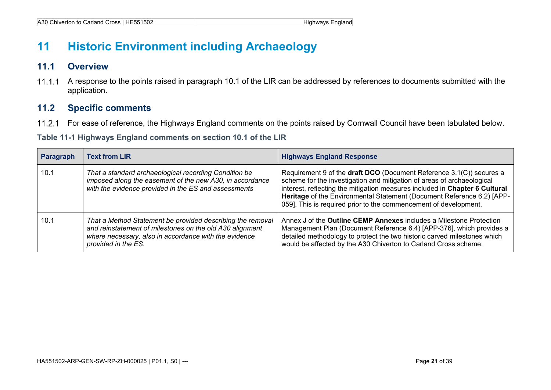## **11 Historic Environment including Archaeology**

### **11.1 Overview**

 $11.1.1$ A response to the points raised in paragraph 10.1 of the LIR can be addressed by references to documents submitted with the application.

### **11.2 Specific comments**

 $11.2.1$ For ease of reference, the Highways England comments on the points raised by Cornwall Council have been tabulated below.

#### **Table 11-1 Highways England comments on section 10.1 of the LIR**

<span id="page-24-3"></span><span id="page-24-2"></span><span id="page-24-1"></span><span id="page-24-0"></span>

| Paragraph | <b>Text from LIR</b>                                                                                                                                                                                   | <b>Highways England Response</b>                                                                                                                                                                                                                                                                                                                                            |
|-----------|--------------------------------------------------------------------------------------------------------------------------------------------------------------------------------------------------------|-----------------------------------------------------------------------------------------------------------------------------------------------------------------------------------------------------------------------------------------------------------------------------------------------------------------------------------------------------------------------------|
| 10.1      | That a standard archaeological recording Condition be<br>imposed along the easement of the new A30, in accordance<br>with the evidence provided in the ES and assessments                              | Requirement 9 of the draft DCO (Document Reference 3.1(C)) secures a<br>scheme for the investigation and mitigation of areas of archaeological<br>interest, reflecting the mitigation measures included in Chapter 6 Cultural<br>Heritage of the Environmental Statement (Document Reference 6.2) [APP-<br>059]. This is required prior to the commencement of development. |
| 10.1      | That a Method Statement be provided describing the removal<br>and reinstatement of milestones on the old A30 alignment<br>where necessary, also in accordance with the evidence<br>provided in the ES. | Annex J of the <b>Outline CEMP Annexes</b> includes a Milestone Protection<br>Management Plan (Document Reference 6.4) [APP-376], which provides a<br>detailed methodology to protect the two historic carved milestones which<br>would be affected by the A30 Chiverton to Carland Cross scheme.                                                                           |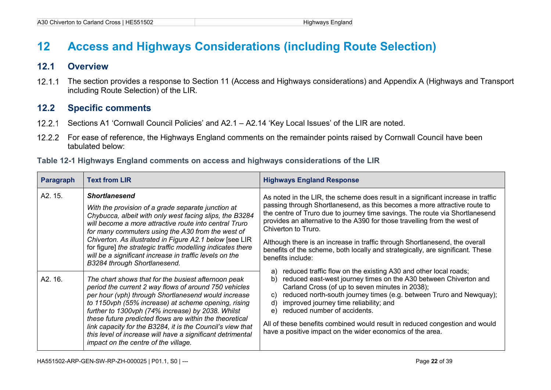## **12 Access and Highways Considerations (including Route Selection)**

### **12.1 Overview**

 $12.1.1$ The section provides a response to Section 11 (Access and Highways considerations) and Appendix A (Highways and Transport including Route Selection) of the LIR.

### **12.2 Specific comments**

- 12.2.1 Sections A1 'Cornwall Council Policies' and A2.1 A2.14 'Key Local Issues' of the LIR are noted.
- 12.2.2 For ease of reference, the Highways England comments on the remainder points raised by Cornwall Council have been tabulated below:

|  |  |  | Table 12-1 Highways England comments on access and highways considerations of the LIR |
|--|--|--|---------------------------------------------------------------------------------------|
|--|--|--|---------------------------------------------------------------------------------------|

<span id="page-25-3"></span><span id="page-25-2"></span><span id="page-25-1"></span><span id="page-25-0"></span>

| <b>Paragraph</b> | <b>Text from LIR</b>                                                                                                                                                                                                                                                                                                                                                                                                                                                                                           | <b>Highways England Response</b>                                                                                                                                                                                                                                                                                                                                                                                                                                                                                                        |
|------------------|----------------------------------------------------------------------------------------------------------------------------------------------------------------------------------------------------------------------------------------------------------------------------------------------------------------------------------------------------------------------------------------------------------------------------------------------------------------------------------------------------------------|-----------------------------------------------------------------------------------------------------------------------------------------------------------------------------------------------------------------------------------------------------------------------------------------------------------------------------------------------------------------------------------------------------------------------------------------------------------------------------------------------------------------------------------------|
| A2. 15.          | <b>Shortlanesend</b><br>With the provision of a grade separate junction at<br>Chybucca, albeit with only west facing slips, the B3284<br>will become a more attractive route into central Truro<br>for many commuters using the A30 from the west of<br>Chiverton. As illustrated in Figure A2.1 below [see LIR<br>for figure] the strategic traffic modelling indicates there<br>will be a significant increase in traffic levels on the<br>B3284 through Shortlanesend.                                      | As noted in the LIR, the scheme does result in a significant increase in traffic<br>passing through Shortlanesend, as this becomes a more attractive route to<br>the centre of Truro due to journey time savings. The route via Shortlanesend<br>provides an alternative to the A390 for those travelling from the west of<br>Chiverton to Truro.<br>Although there is an increase in traffic through Shortlanesend, the overall<br>benefits of the scheme, both locally and strategically, are significant. These<br>benefits include: |
| A2. 16.          | The chart shows that for the busiest afternoon peak<br>period the current 2 way flows of around 750 vehicles<br>per hour (vph) through Shortlanesend would increase<br>to 1150vph (55% increase) at scheme opening, rising<br>further to 1300vph (74% increase) by 2038. Whilst<br>these future predicted flows are within the theoretical<br>link capacity for the B3284, it is the Council's view that<br>this level of increase will have a significant detrimental<br>impact on the centre of the village. | reduced traffic flow on the existing A30 and other local roads;<br>a)<br>reduced east-west journey times on the A30 between Chiverton and<br>b)<br>Carland Cross (of up to seven minutes in 2038);<br>reduced north-south journey times (e.g. between Truro and Newquay);<br>C)<br>improved journey time reliability; and<br>d)<br>reduced number of accidents.<br>e)<br>All of these benefits combined would result in reduced congestion and would<br>have a positive impact on the wider economics of the area.                      |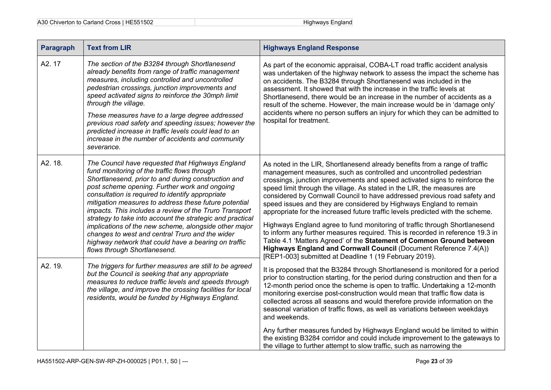| <b>Paragraph</b> | <b>Text from LIR</b>                                                                                                                                                                                                                                                                                                                                                                                                                                                                                                                                                                                                                             | <b>Highways England Response</b>                                                                                                                                                                                                                                                                                                                                                                                                                                                                                                                                                                                                                                                                                                                                                                                                                                                                                         |
|------------------|--------------------------------------------------------------------------------------------------------------------------------------------------------------------------------------------------------------------------------------------------------------------------------------------------------------------------------------------------------------------------------------------------------------------------------------------------------------------------------------------------------------------------------------------------------------------------------------------------------------------------------------------------|--------------------------------------------------------------------------------------------------------------------------------------------------------------------------------------------------------------------------------------------------------------------------------------------------------------------------------------------------------------------------------------------------------------------------------------------------------------------------------------------------------------------------------------------------------------------------------------------------------------------------------------------------------------------------------------------------------------------------------------------------------------------------------------------------------------------------------------------------------------------------------------------------------------------------|
| A2.17            | The section of the B3284 through Shortlanesend<br>already benefits from range of traffic management<br>measures, including controlled and uncontrolled<br>pedestrian crossings, junction improvements and<br>speed activated signs to reinforce the 30mph limit<br>through the village.<br>These measures have to a large degree addressed<br>previous road safety and speeding issues; however the<br>predicted increase in traffic levels could lead to an<br>increase in the number of accidents and community<br>severance.                                                                                                                  | As part of the economic appraisal, COBA-LT road traffic accident analysis<br>was undertaken of the highway network to assess the impact the scheme has<br>on accidents. The B3284 through Shortlanesend was included in the<br>assessment. It showed that with the increase in the traffic levels at<br>Shortlanesend, there would be an increase in the number of accidents as a<br>result of the scheme. However, the main increase would be in 'damage only'<br>accidents where no person suffers an injury for which they can be admitted to<br>hospital for treatment.                                                                                                                                                                                                                                                                                                                                              |
| A2. 18.          | The Council have requested that Highways England<br>fund monitoring of the traffic flows through<br>Shortlanesend, prior to and during construction and<br>post scheme opening. Further work and ongoing<br>consultation is required to identify appropriate<br>mitigation measures to address these future potential<br>impacts. This includes a review of the Truro Transport<br>strategy to take into account the strategic and practical<br>implications of the new scheme, alongside other major<br>changes to west and central Truro and the wider<br>highway network that could have a bearing on traffic<br>flows through Shortlanesend. | As noted in the LIR, Shortlanesend already benefits from a range of traffic<br>management measures, such as controlled and uncontrolled pedestrian<br>crossings, junction improvements and speed activated signs to reinforce the<br>speed limit through the village. As stated in the LIR, the measures are<br>considered by Cornwall Council to have addressed previous road safety and<br>speed issues and they are considered by Highways England to remain<br>appropriate for the increased future traffic levels predicted with the scheme.<br>Highways England agree to fund monitoring of traffic through Shortlanesend<br>to inform any further measures required. This is recorded in reference 19.3 in<br>Table 4.1 'Matters Agreed' of the Statement of Common Ground between<br>Highways England and Cornwall Council (Document Reference 7.4(A))<br>[REP1-003] submitted at Deadline 1 (19 February 2019). |
| A2. 19.          | The triggers for further measures are still to be agreed<br>but the Council is seeking that any appropriate<br>measures to reduce traffic levels and speeds through<br>the village, and improve the crossing facilities for local<br>residents, would be funded by Highways England.                                                                                                                                                                                                                                                                                                                                                             | It is proposed that the B3284 through Shortlanesend is monitored for a period<br>prior to construction starting, for the period during construction and then for a<br>12-month period once the scheme is open to traffic. Undertaking a 12-month<br>monitoring exercise post-construction would mean that traffic flow data is<br>collected across all seasons and would therefore provide information on the<br>seasonal variation of traffic flows, as well as variations between weekdays<br>and weekends.                                                                                                                                                                                                                                                                                                                                                                                                            |
|                  |                                                                                                                                                                                                                                                                                                                                                                                                                                                                                                                                                                                                                                                  | Any further measures funded by Highways England would be limited to within<br>the existing B3284 corridor and could include improvement to the gateways to<br>the village to further attempt to slow traffic, such as narrowing the                                                                                                                                                                                                                                                                                                                                                                                                                                                                                                                                                                                                                                                                                      |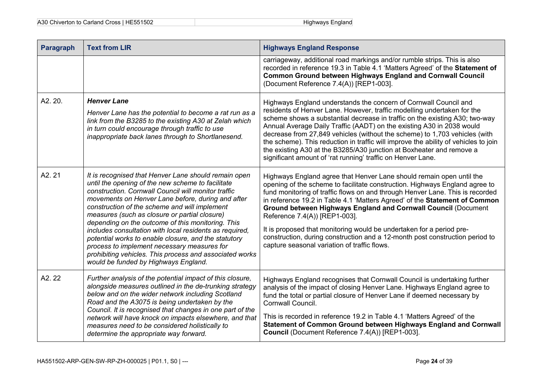| <b>Paragraph</b> | <b>Text from LIR</b>                                                                                                                                                                                                                                                                                                                                                                                                                                                                                                                                                                                                                              | <b>Highways England Response</b>                                                                                                                                                                                                                                                                                                                                                                                                                                                                                                                                                                                              |
|------------------|---------------------------------------------------------------------------------------------------------------------------------------------------------------------------------------------------------------------------------------------------------------------------------------------------------------------------------------------------------------------------------------------------------------------------------------------------------------------------------------------------------------------------------------------------------------------------------------------------------------------------------------------------|-------------------------------------------------------------------------------------------------------------------------------------------------------------------------------------------------------------------------------------------------------------------------------------------------------------------------------------------------------------------------------------------------------------------------------------------------------------------------------------------------------------------------------------------------------------------------------------------------------------------------------|
|                  |                                                                                                                                                                                                                                                                                                                                                                                                                                                                                                                                                                                                                                                   | carriageway, additional road markings and/or rumble strips. This is also<br>recorded in reference 19.3 in Table 4.1 'Matters Agreed' of the Statement of<br><b>Common Ground between Highways England and Cornwall Council</b><br>(Document Reference 7.4(A)) [REP1-003].                                                                                                                                                                                                                                                                                                                                                     |
| A2.20.           | <b>Henver Lane</b><br>Henver Lane has the potential to become a rat run as a<br>link from the B3285 to the existing A30 at Zelah which<br>in turn could encourage through traffic to use<br>inappropriate back lanes through to Shortlanesend.                                                                                                                                                                                                                                                                                                                                                                                                    | Highways England understands the concern of Cornwall Council and<br>residents of Henver Lane. However, traffic modelling undertaken for the<br>scheme shows a substantial decrease in traffic on the existing A30; two-way<br>Annual Average Daily Traffic (AADT) on the existing A30 in 2038 would<br>decrease from 27,849 vehicles (without the scheme) to 1,703 vehicles (with<br>the scheme). This reduction in traffic will improve the ability of vehicles to join<br>the existing A30 at the B3285/A30 junction at Boxheater and remove a<br>significant amount of 'rat running' traffic on Henver Lane.               |
| A2.21            | It is recognised that Henver Lane should remain open<br>until the opening of the new scheme to facilitate<br>construction. Cornwall Council will monitor traffic<br>movements on Henver Lane before, during and after<br>construction of the scheme and will implement<br>measures (such as closure or partial closure)<br>depending on the outcome of this monitoring. This<br>includes consultation with local residents as required,<br>potential works to enable closure, and the statutory<br>process to implement necessary measures for<br>prohibiting vehicles. This process and associated works<br>would be funded by Highways England. | Highways England agree that Henver Lane should remain open until the<br>opening of the scheme to facilitate construction. Highways England agree to<br>fund monitoring of traffic flows on and through Henver Lane. This is recorded<br>in reference 19.2 in Table 4.1 'Matters Agreed' of the Statement of Common<br>Ground between Highways England and Cornwall Council (Document<br>Reference 7.4(A)) [REP1-003].<br>It is proposed that monitoring would be undertaken for a period pre-<br>construction, during construction and a 12-month post construction period to<br>capture seasonal variation of traffic flows. |
| A2.22            | Further analysis of the potential impact of this closure,<br>alongside measures outlined in the de-trunking strategy<br>below and on the wider network including Scotland<br>Road and the A3075 is being undertaken by the<br>Council. It is recognised that changes in one part of the<br>network will have knock on impacts elsewhere, and that<br>measures need to be considered holistically to<br>determine the appropriate way forward.                                                                                                                                                                                                     | Highways England recognises that Cornwall Council is undertaking further<br>analysis of the impact of closing Henver Lane. Highways England agree to<br>fund the total or partial closure of Henver Lane if deemed necessary by<br>Cornwall Council.<br>This is recorded in reference 19.2 in Table 4.1 'Matters Agreed' of the<br>Statement of Common Ground between Highways England and Cornwall<br>Council (Document Reference 7.4(A)) [REP1-003].                                                                                                                                                                        |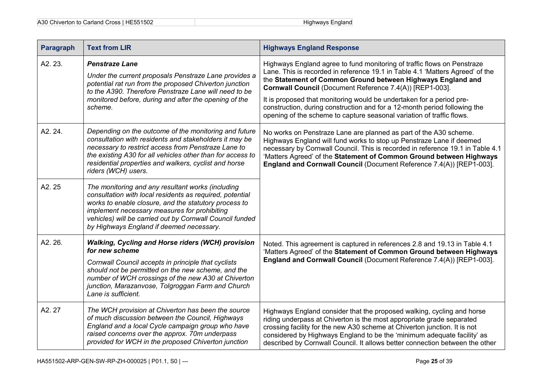| <b>Paragraph</b> | <b>Text from LIR</b>                                                                                                                                                                                                                                                                                                           | <b>Highways England Response</b>                                                                                                                                                                                                                                                                                                                                                                                                                                                                                  |
|------------------|--------------------------------------------------------------------------------------------------------------------------------------------------------------------------------------------------------------------------------------------------------------------------------------------------------------------------------|-------------------------------------------------------------------------------------------------------------------------------------------------------------------------------------------------------------------------------------------------------------------------------------------------------------------------------------------------------------------------------------------------------------------------------------------------------------------------------------------------------------------|
| A2.23.           | <b>Penstraze Lane</b><br>Under the current proposals Penstraze Lane provides a<br>potential rat run from the proposed Chiverton junction<br>to the A390. Therefore Penstraze Lane will need to be<br>monitored before, during and after the opening of the<br>scheme.                                                          | Highways England agree to fund monitoring of traffic flows on Penstraze<br>Lane. This is recorded in reference 19.1 in Table 4.1 'Matters Agreed' of the<br>the Statement of Common Ground between Highways England and<br>Cornwall Council (Document Reference 7.4(A)) [REP1-003].<br>It is proposed that monitoring would be undertaken for a period pre-<br>construction, during construction and for a 12-month period following the<br>opening of the scheme to capture seasonal variation of traffic flows. |
| A2.24.           | Depending on the outcome of the monitoring and future<br>consultation with residents and stakeholders it may be<br>necessary to restrict access from Penstraze Lane to<br>the existing A30 for all vehicles other than for access to<br>residential properties and walkers, cyclist and horse<br>riders (WCH) users.           | No works on Penstraze Lane are planned as part of the A30 scheme.<br>Highways England will fund works to stop up Penstraze Lane if deemed<br>necessary by Cornwall Council. This is recorded in reference 19.1 in Table 4.1<br>'Matters Agreed' of the Statement of Common Ground between Highways<br>England and Cornwall Council (Document Reference 7.4(A)) [REP1-003].                                                                                                                                        |
| A2.25            | The monitoring and any resultant works (including<br>consultation with local residents as required, potential<br>works to enable closure, and the statutory process to<br>implement necessary measures for prohibiting<br>vehicles) will be carried out by Cornwall Council funded<br>by Highways England if deemed necessary. |                                                                                                                                                                                                                                                                                                                                                                                                                                                                                                                   |
| A2.26.           | <b>Walking, Cycling and Horse riders (WCH) provision</b><br>for new scheme<br>Cornwall Council accepts in principle that cyclists<br>should not be permitted on the new scheme, and the<br>number of WCH crossings of the new A30 at Chiverton<br>junction, Marazanvose, Tolgroggan Farm and Church<br>Lane is sufficient.     | Noted. This agreement is captured in references 2.8 and 19.13 in Table 4.1<br>'Matters Agreed' of the Statement of Common Ground between Highways<br>England and Cornwall Council (Document Reference 7.4(A)) [REP1-003].                                                                                                                                                                                                                                                                                         |
| A2.27            | The WCH provision at Chiverton has been the source<br>of much discussion between the Council, Highways<br>England and a local Cycle campaign group who have<br>raised concerns over the approx. 70m underpass<br>provided for WCH in the proposed Chiverton junction                                                           | Highways England consider that the proposed walking, cycling and horse<br>riding underpass at Chiverton is the most appropriate grade separated<br>crossing facility for the new A30 scheme at Chiverton junction. It is not<br>considered by Highways England to be the 'minimum adequate facility' as<br>described by Cornwall Council. It allows better connection between the other                                                                                                                           |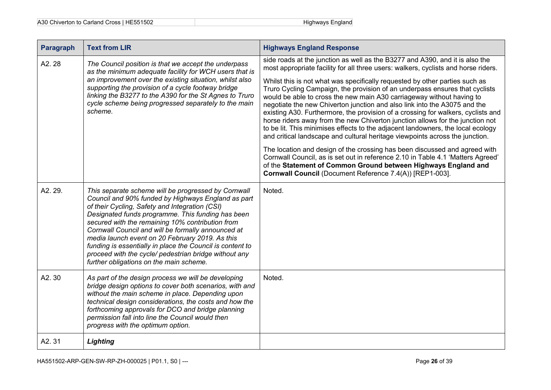| <b>Paragraph</b> | <b>Text from LIR</b>                                                                                                                                                                                                                                                                                                                                                                                                                                                                                                                           | <b>Highways England Response</b>                                                                                                                                                                                                                                                                                                                                                                                                                                                                                                                                                                                                                                                                                                                                                                                                                                                                                                                                                                                                                                                                                              |
|------------------|------------------------------------------------------------------------------------------------------------------------------------------------------------------------------------------------------------------------------------------------------------------------------------------------------------------------------------------------------------------------------------------------------------------------------------------------------------------------------------------------------------------------------------------------|-------------------------------------------------------------------------------------------------------------------------------------------------------------------------------------------------------------------------------------------------------------------------------------------------------------------------------------------------------------------------------------------------------------------------------------------------------------------------------------------------------------------------------------------------------------------------------------------------------------------------------------------------------------------------------------------------------------------------------------------------------------------------------------------------------------------------------------------------------------------------------------------------------------------------------------------------------------------------------------------------------------------------------------------------------------------------------------------------------------------------------|
| A2.28            | The Council position is that we accept the underpass<br>as the minimum adequate facility for WCH users that is<br>an improvement over the existing situation, whilst also<br>supporting the provision of a cycle footway bridge<br>linking the B3277 to the A390 for the St Agnes to Truro<br>cycle scheme being progressed separately to the main<br>scheme.                                                                                                                                                                                  | side roads at the junction as well as the B3277 and A390, and it is also the<br>most appropriate facility for all three users: walkers, cyclists and horse riders.<br>Whilst this is not what was specifically requested by other parties such as<br>Truro Cycling Campaign, the provision of an underpass ensures that cyclists<br>would be able to cross the new main A30 carriageway without having to<br>negotiate the new Chiverton junction and also link into the A3075 and the<br>existing A30. Furthermore, the provision of a crossing for walkers, cyclists and<br>horse riders away from the new Chiverton junction allows for the junction not<br>to be lit. This minimises effects to the adjacent landowners, the local ecology<br>and critical landscape and cultural heritage viewpoints across the junction.<br>The location and design of the crossing has been discussed and agreed with<br>Cornwall Council, as is set out in reference 2.10 in Table 4.1 'Matters Agreed'<br>of the Statement of Common Ground between Highways England and<br>Cornwall Council (Document Reference 7.4(A)) [REP1-003]. |
| A2.29.           | This separate scheme will be progressed by Cornwall<br>Council and 90% funded by Highways England as part<br>of their Cycling, Safety and Integration (CSI)<br>Designated funds programme. This funding has been<br>secured with the remaining 10% contribution from<br>Cornwall Council and will be formally announced at<br>media launch event on 20 February 2019. As this<br>funding is essentially in place the Council is content to<br>proceed with the cycle/ pedestrian bridge without any<br>further obligations on the main scheme. | Noted.                                                                                                                                                                                                                                                                                                                                                                                                                                                                                                                                                                                                                                                                                                                                                                                                                                                                                                                                                                                                                                                                                                                        |
| A2.30            | As part of the design process we will be developing<br>bridge design options to cover both scenarios, with and<br>without the main scheme in place. Depending upon<br>technical design considerations, the costs and how the<br>forthcoming approvals for DCO and bridge planning<br>permission fall into line the Council would then<br>progress with the optimum option.                                                                                                                                                                     | Noted.                                                                                                                                                                                                                                                                                                                                                                                                                                                                                                                                                                                                                                                                                                                                                                                                                                                                                                                                                                                                                                                                                                                        |
| A2.31            | <b>Lighting</b>                                                                                                                                                                                                                                                                                                                                                                                                                                                                                                                                |                                                                                                                                                                                                                                                                                                                                                                                                                                                                                                                                                                                                                                                                                                                                                                                                                                                                                                                                                                                                                                                                                                                               |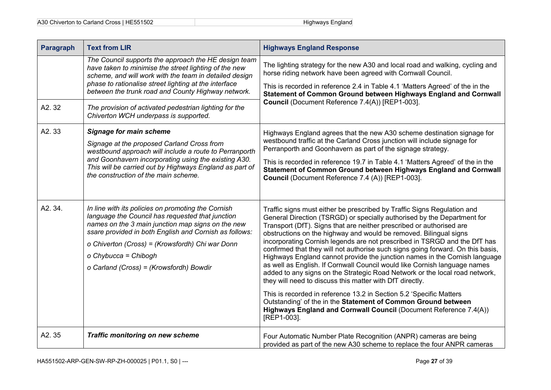| A30 Chiverton to Carland Cross   HE551502 | Highways England |
|-------------------------------------------|------------------|
|-------------------------------------------|------------------|

| <b>Paragraph</b> | <b>Text from LIR</b>                                                                                                                                                                                                                                                                                                                        | <b>Highways England Response</b>                                                                                                                                                                                                                                                                                                                                                                                                                                                                                                                                                                                                                                                                                                                                                                                                             |
|------------------|---------------------------------------------------------------------------------------------------------------------------------------------------------------------------------------------------------------------------------------------------------------------------------------------------------------------------------------------|----------------------------------------------------------------------------------------------------------------------------------------------------------------------------------------------------------------------------------------------------------------------------------------------------------------------------------------------------------------------------------------------------------------------------------------------------------------------------------------------------------------------------------------------------------------------------------------------------------------------------------------------------------------------------------------------------------------------------------------------------------------------------------------------------------------------------------------------|
|                  | The Council supports the approach the HE design team<br>have taken to minimise the street lighting of the new<br>scheme, and will work with the team in detailed design<br>phase to rationalise street lighting at the interface<br>between the trunk road and County Highway network.                                                      | The lighting strategy for the new A30 and local road and walking, cycling and<br>horse riding network have been agreed with Cornwall Council.<br>This is recorded in reference 2.4 in Table 4.1 'Matters Agreed' of the in the<br>Statement of Common Ground between Highways England and Cornwall                                                                                                                                                                                                                                                                                                                                                                                                                                                                                                                                           |
| A2.32            | The provision of activated pedestrian lighting for the<br>Chiverton WCH underpass is supported.                                                                                                                                                                                                                                             | Council (Document Reference 7.4(A)) [REP1-003].                                                                                                                                                                                                                                                                                                                                                                                                                                                                                                                                                                                                                                                                                                                                                                                              |
| A2.33            | <b>Signage for main scheme</b><br>Signage at the proposed Carland Cross from<br>westbound approach will include a route to Perranporth<br>and Goonhavern incorporating using the existing A30.<br>This will be carried out by Highways England as part of<br>the construction of the main scheme.                                           | Highways England agrees that the new A30 scheme destination signage for<br>westbound traffic at the Carland Cross junction will include signage for<br>Perranporth and Goonhavern as part of the signage strategy.<br>This is recorded in reference 19.7 in Table 4.1 'Matters Agreed' of the in the<br>Statement of Common Ground between Highways England and Cornwall<br>Council (Document Reference 7.4 (A)) [REP1-003].                                                                                                                                                                                                                                                                                                                                                                                                                 |
| A2.34.           | In line with its policies on promoting the Cornish<br>language the Council has requested that junction<br>names on the 3 main junction map signs on the new<br>ssare provided in both English and Cornish as follows:<br>o Chiverton (Cross) = (Krowsfordh) Chi war Donn<br>o Chybucca = Chibogh<br>o Carland (Cross) = (Krowsfordh) Bowdir | Traffic signs must either be prescribed by Traffic Signs Regulation and<br>General Direction (TSRGD) or specially authorised by the Department for<br>Transport (DfT). Signs that are neither prescribed or authorised are<br>obstructions on the highway and would be removed. Bilingual signs<br>incorporating Cornish legends are not prescribed in TSRGD and the DfT has<br>confirmed that they will not authorise such signs going forward. On this basis,<br>Highways England cannot provide the junction names in the Cornish language<br>as well as English. If Cornwall Council would like Cornish language names<br>added to any signs on the Strategic Road Network or the local road network,<br>they will need to discuss this matter with DfT directly.<br>This is recorded in reference 13.2 in Section 5.2 'Specific Matters |
|                  |                                                                                                                                                                                                                                                                                                                                             | Outstanding' of the in the Statement of Common Ground between<br>Highways England and Cornwall Council (Document Reference 7.4(A))<br>[REP1-003].                                                                                                                                                                                                                                                                                                                                                                                                                                                                                                                                                                                                                                                                                            |
| A2.35            | <b>Traffic monitoring on new scheme</b>                                                                                                                                                                                                                                                                                                     | Four Automatic Number Plate Recognition (ANPR) cameras are being<br>provided as part of the new A30 scheme to replace the four ANPR cameras                                                                                                                                                                                                                                                                                                                                                                                                                                                                                                                                                                                                                                                                                                  |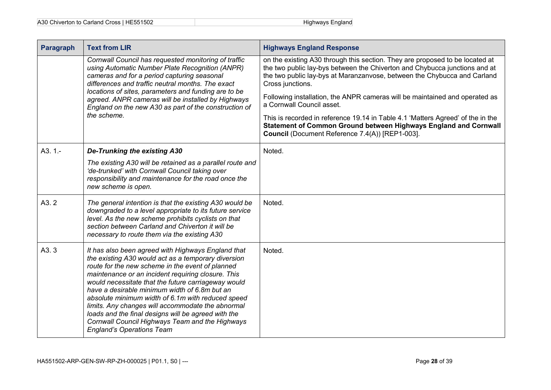| A30 Chiverton to Carland Cross   HE551502 | Highways England |
|-------------------------------------------|------------------|
|-------------------------------------------|------------------|

| <b>Paragraph</b> | <b>Text from LIR</b>                                                                                                                                                                                                                                                                                                                                                                                                                                                                                                                                                                | <b>Highways England Response</b>                                                                                                                                                                                                                           |
|------------------|-------------------------------------------------------------------------------------------------------------------------------------------------------------------------------------------------------------------------------------------------------------------------------------------------------------------------------------------------------------------------------------------------------------------------------------------------------------------------------------------------------------------------------------------------------------------------------------|------------------------------------------------------------------------------------------------------------------------------------------------------------------------------------------------------------------------------------------------------------|
|                  | Cornwall Council has requested monitoring of traffic<br>using Automatic Number Plate Recognition (ANPR)<br>cameras and for a period capturing seasonal<br>differences and traffic neutral months. The exact                                                                                                                                                                                                                                                                                                                                                                         | on the existing A30 through this section. They are proposed to be located at<br>the two public lay-bys between the Chiverton and Chybucca junctions and at<br>the two public lay-bys at Maranzanvose, between the Chybucca and Carland<br>Cross junctions. |
|                  | locations of sites, parameters and funding are to be<br>agreed. ANPR cameras will be installed by Highways<br>England on the new A30 as part of the construction of<br>the scheme.                                                                                                                                                                                                                                                                                                                                                                                                  | Following installation, the ANPR cameras will be maintained and operated as<br>a Cornwall Council asset.                                                                                                                                                   |
|                  |                                                                                                                                                                                                                                                                                                                                                                                                                                                                                                                                                                                     | This is recorded in reference 19.14 in Table 4.1 'Matters Agreed' of the in the<br>Statement of Common Ground between Highways England and Cornwall<br>Council (Document Reference 7.4(A)) [REP1-003].                                                     |
| $A3.1 -$         | <b>De-Trunking the existing A30</b>                                                                                                                                                                                                                                                                                                                                                                                                                                                                                                                                                 | Noted.                                                                                                                                                                                                                                                     |
|                  | The existing A30 will be retained as a parallel route and<br>'de-trunked' with Cornwall Council taking over<br>responsibility and maintenance for the road once the<br>new scheme is open.                                                                                                                                                                                                                                                                                                                                                                                          |                                                                                                                                                                                                                                                            |
| A3.2             | The general intention is that the existing A30 would be<br>downgraded to a level appropriate to its future service<br>level. As the new scheme prohibits cyclists on that<br>section between Carland and Chiverton it will be<br>necessary to route them via the existing A30                                                                                                                                                                                                                                                                                                       | Noted.                                                                                                                                                                                                                                                     |
| A3.3             | It has also been agreed with Highways England that<br>the existing A30 would act as a temporary diversion<br>route for the new scheme in the event of planned<br>maintenance or an incident requiring closure. This<br>would necessitate that the future carriageway would<br>have a desirable minimum width of 6.8m but an<br>absolute minimum width of 6.1m with reduced speed<br>limits. Any changes will accommodate the abnormal<br>loads and the final designs will be agreed with the<br>Cornwall Council Highways Team and the Highways<br><b>England's Operations Team</b> | Noted.                                                                                                                                                                                                                                                     |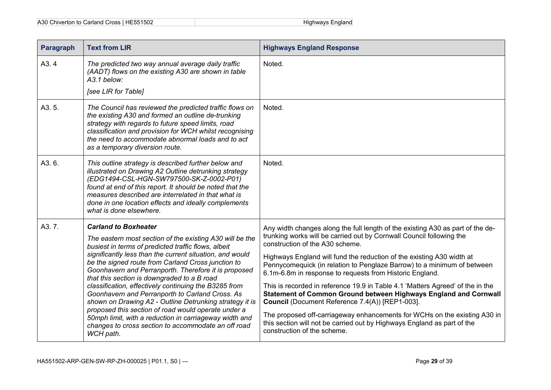| A30 Chiverton to Carland Cross   HE551502 | Highways England |
|-------------------------------------------|------------------|
|-------------------------------------------|------------------|

| Paragraph         | <b>Text from LIR</b>                                                                                                                                                                                                                                                                                                                                                                                                                                                                                                                                                                                                                                                                                                                | <b>Highways England Response</b>                                                                                                                                                                                                                                                                                                                                                                                                                                                                                                                                                                                                                                                                                                                                                                          |
|-------------------|-------------------------------------------------------------------------------------------------------------------------------------------------------------------------------------------------------------------------------------------------------------------------------------------------------------------------------------------------------------------------------------------------------------------------------------------------------------------------------------------------------------------------------------------------------------------------------------------------------------------------------------------------------------------------------------------------------------------------------------|-----------------------------------------------------------------------------------------------------------------------------------------------------------------------------------------------------------------------------------------------------------------------------------------------------------------------------------------------------------------------------------------------------------------------------------------------------------------------------------------------------------------------------------------------------------------------------------------------------------------------------------------------------------------------------------------------------------------------------------------------------------------------------------------------------------|
| A <sub>3</sub> .4 | The predicted two way annual average daily traffic<br>(AADT) flows on the existing A30 are shown in table<br>A3.1 below:                                                                                                                                                                                                                                                                                                                                                                                                                                                                                                                                                                                                            | Noted.                                                                                                                                                                                                                                                                                                                                                                                                                                                                                                                                                                                                                                                                                                                                                                                                    |
|                   | [see LIR for Table]                                                                                                                                                                                                                                                                                                                                                                                                                                                                                                                                                                                                                                                                                                                 |                                                                                                                                                                                                                                                                                                                                                                                                                                                                                                                                                                                                                                                                                                                                                                                                           |
| A3.5.             | The Council has reviewed the predicted traffic flows on<br>the existing A30 and formed an outline de-trunking<br>strategy with regards to future speed limits, road<br>classification and provision for WCH whilst recognising<br>the need to accommodate abnormal loads and to act<br>as a temporary diversion route.                                                                                                                                                                                                                                                                                                                                                                                                              | Noted.                                                                                                                                                                                                                                                                                                                                                                                                                                                                                                                                                                                                                                                                                                                                                                                                    |
| A3.6.             | This outline strategy is described further below and<br>illustrated on Drawing A2 Outline detrunking strategy<br>(EDG1494-CSL-HGN-SW797500-SK-Z-0002-P01)<br>found at end of this report. It should be noted that the<br>measures described are interrelated in that what is<br>done in one location effects and ideally complements<br>what is done elsewhere.                                                                                                                                                                                                                                                                                                                                                                     | Noted.                                                                                                                                                                                                                                                                                                                                                                                                                                                                                                                                                                                                                                                                                                                                                                                                    |
| A3.7.             | <b>Carland to Boxheater</b><br>The eastern most section of the existing A30 will be the<br>busiest in terms of predicted traffic flows, albeit<br>significantly less than the current situation, and would<br>be the signed route from Carland Cross junction to<br>Goonhavern and Perranporth. Therefore it is proposed<br>that this section is downgraded to a B road<br>classification, effectively continuing the B3285 from<br>Goonhavern and Perranporth to Carland Cross. As<br>shown on Drawing A2 - Outline Detrunking strategy it is<br>proposed this section of road would operate under a<br>50mph limit, with a reduction in carriageway width and<br>changes to cross section to accommodate an off road<br>WCH path. | Any width changes along the full length of the existing A30 as part of the de-<br>trunking works will be carried out by Cornwall Council following the<br>construction of the A30 scheme.<br>Highways England will fund the reduction of the existing A30 width at<br>Pennycomequick (in relation to Penglaze Barrow) to a minimum of between<br>6.1m-6.8m in response to requests from Historic England.<br>This is recorded in reference 19.9 in Table 4.1 'Matters Agreed' of the in the<br>Statement of Common Ground between Highways England and Cornwall<br>Council (Document Reference 7.4(A)) [REP1-003].<br>The proposed off-carriageway enhancements for WCHs on the existing A30 in<br>this section will not be carried out by Highways England as part of the<br>construction of the scheme. |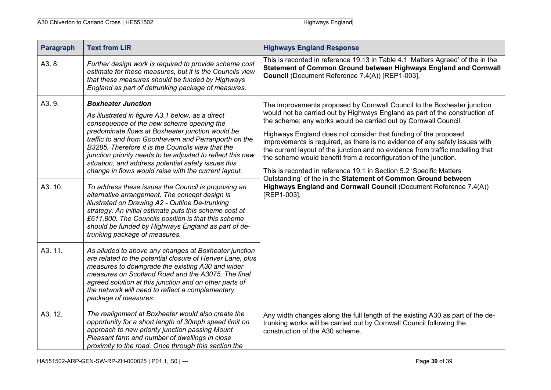| A30 Chiverton to Carland Cross   HE551502 | Highways England |
|-------------------------------------------|------------------|
|-------------------------------------------|------------------|

| <b>Paragraph</b> | <b>Text from LIR</b>                                                                                                                                                                                                                                                                                                                                                                                                                                                                                                                                                                                                                                                                                                                                   | <b>Highways England Response</b>                                                                                                                                                                                                                                                                                                                                                                                                                                                                                                                                                                                                                                                                                                                              |
|------------------|--------------------------------------------------------------------------------------------------------------------------------------------------------------------------------------------------------------------------------------------------------------------------------------------------------------------------------------------------------------------------------------------------------------------------------------------------------------------------------------------------------------------------------------------------------------------------------------------------------------------------------------------------------------------------------------------------------------------------------------------------------|---------------------------------------------------------------------------------------------------------------------------------------------------------------------------------------------------------------------------------------------------------------------------------------------------------------------------------------------------------------------------------------------------------------------------------------------------------------------------------------------------------------------------------------------------------------------------------------------------------------------------------------------------------------------------------------------------------------------------------------------------------------|
| A3.8.            | Further design work is required to provide scheme cost<br>estimate for these measures, but it is the Councils view<br>that these measures should be funded by Highways<br>England as part of detrunking package of measures.                                                                                                                                                                                                                                                                                                                                                                                                                                                                                                                           | This is recorded in reference 19.13 in Table 4.1 'Matters Agreed' of the in the<br>Statement of Common Ground between Highways England and Cornwall<br>Council (Document Reference 7.4(A)) [REP1-003].                                                                                                                                                                                                                                                                                                                                                                                                                                                                                                                                                        |
| A3.9.<br>A3. 10. | <b>Boxheater Junction</b><br>As illustrated in figure A3.1 below, as a direct<br>consequence of the new scheme opening the<br>predominate flows at Boxheater junction would be<br>traffic to and from Goonhavern and Perranporth on the<br>B3285. Therefore it is the Councils view that the<br>junction priority needs to be adjusted to reflect this new<br>situation, and address potential safety issues this<br>change in flows would raise with the current layout.<br>To address these issues the Council is proposing an<br>alternative arrangement. The concept design is<br>illustrated on Drawing A2 - Outline De-trunking<br>strategy. An initial estimate puts this scheme cost at<br>£611,800. The Councils position is that this scheme | The improvements proposed by Cornwall Council to the Boxheater junction<br>would not be carried out by Highways England as part of the construction of<br>the scheme; any works would be carried out by Cornwall Council.<br>Highways England does not consider that funding of the proposed<br>improvements is required, as there is no evidence of any safety issues with<br>the current layout of the junction and no evidence from traffic modelling that<br>the scheme would benefit from a reconfiguration of the junction.<br>This is recorded in reference 19.1 in Section 5.2 'Specific Matters<br>Outstanding' of the in the Statement of Common Ground between<br>Highways England and Cornwall Council (Document Reference 7.4(A))<br>[REP1-003]. |
|                  | should be funded by Highways England as part of de-<br>trunking package of measures.                                                                                                                                                                                                                                                                                                                                                                                                                                                                                                                                                                                                                                                                   |                                                                                                                                                                                                                                                                                                                                                                                                                                                                                                                                                                                                                                                                                                                                                               |
| A3.11.           | As alluded to above any changes at Boxheater junction<br>are related to the potential closure of Henver Lane, plus<br>measures to downgrade the existing A30 and wider<br>measures on Scotland Road and the A3075. The final<br>agreed solution at this junction and on other parts of<br>the network will need to reflect a complementary<br>package of measures.                                                                                                                                                                                                                                                                                                                                                                                     |                                                                                                                                                                                                                                                                                                                                                                                                                                                                                                                                                                                                                                                                                                                                                               |
| A3. 12.          | The realignment at Boxheater would also create the<br>opportunity for a short length of 30mph speed limit on<br>approach to new priority junction passing Mount<br>Pleasant farm and number of dwellings in close<br>proximity to the road. Once through this section the                                                                                                                                                                                                                                                                                                                                                                                                                                                                              | Any width changes along the full length of the existing A30 as part of the de-<br>trunking works will be carried out by Cornwall Council following the<br>construction of the A30 scheme.                                                                                                                                                                                                                                                                                                                                                                                                                                                                                                                                                                     |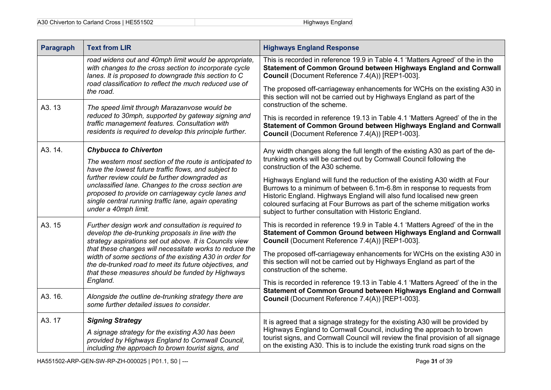| <b>Paragraph</b>                                                                                                                                                                                                                                                                                                                                                                                                                                             | <b>Text from LIR</b>                                                                                                                                                                                                                                                                                                                                          | <b>Highways England Response</b>                                                                                                                                                                                                                                                                                                                                     |
|--------------------------------------------------------------------------------------------------------------------------------------------------------------------------------------------------------------------------------------------------------------------------------------------------------------------------------------------------------------------------------------------------------------------------------------------------------------|---------------------------------------------------------------------------------------------------------------------------------------------------------------------------------------------------------------------------------------------------------------------------------------------------------------------------------------------------------------|----------------------------------------------------------------------------------------------------------------------------------------------------------------------------------------------------------------------------------------------------------------------------------------------------------------------------------------------------------------------|
|                                                                                                                                                                                                                                                                                                                                                                                                                                                              | road widens out and 40mph limit would be appropriate,<br>with changes to the cross section to incorporate cycle<br>lanes. It is proposed to downgrade this section to C                                                                                                                                                                                       | This is recorded in reference 19.9 in Table 4.1 'Matters Agreed' of the in the<br>Statement of Common Ground between Highways England and Cornwall<br>Council (Document Reference 7.4(A)) [REP1-003].                                                                                                                                                                |
|                                                                                                                                                                                                                                                                                                                                                                                                                                                              | road classification to reflect the much reduced use of<br>the road.                                                                                                                                                                                                                                                                                           | The proposed off-carriageway enhancements for WCHs on the existing A30 in<br>this section will not be carried out by Highways England as part of the                                                                                                                                                                                                                 |
| A3.13                                                                                                                                                                                                                                                                                                                                                                                                                                                        | The speed limit through Marazanvose would be                                                                                                                                                                                                                                                                                                                  | construction of the scheme.                                                                                                                                                                                                                                                                                                                                          |
|                                                                                                                                                                                                                                                                                                                                                                                                                                                              | reduced to 30mph, supported by gateway signing and<br>traffic management features. Consultation with<br>residents is required to develop this principle further.                                                                                                                                                                                              | This is recorded in reference 19.13 in Table 4.1 'Matters Agreed' of the in the<br>Statement of Common Ground between Highways England and Cornwall<br>Council (Document Reference 7.4(A)) [REP1-003].                                                                                                                                                               |
| A3. 14.                                                                                                                                                                                                                                                                                                                                                                                                                                                      | <b>Chybucca to Chiverton</b>                                                                                                                                                                                                                                                                                                                                  | Any width changes along the full length of the existing A30 as part of the de-                                                                                                                                                                                                                                                                                       |
|                                                                                                                                                                                                                                                                                                                                                                                                                                                              | The western most section of the route is anticipated to<br>have the lowest future traffic flows, and subject to<br>further review could be further downgraded as<br>unclassified lane. Changes to the cross section are<br>proposed to provide on carriageway cycle lanes and<br>single central running traffic lane, again operating<br>under a 40mph limit. | trunking works will be carried out by Cornwall Council following the<br>construction of the A30 scheme.                                                                                                                                                                                                                                                              |
|                                                                                                                                                                                                                                                                                                                                                                                                                                                              |                                                                                                                                                                                                                                                                                                                                                               | Highways England will fund the reduction of the existing A30 width at Four<br>Burrows to a minimum of between 6.1m-6.8m in response to requests from<br>Historic England. Highways England will also fund localised new green<br>coloured surfacing at Four Burrows as part of the scheme mitigation works<br>subject to further consultation with Historic England. |
| A3.15<br>Further design work and consultation is required to<br>develop the de-trunking proposals in line with the<br>strategy aspirations set out above. It is Councils view<br>that these changes will necessitate works to reduce the<br>width of some sections of the existing A30 in order for<br>the de-trunked road to meet its future objectives, and<br>construction of the scheme.<br>that these measures should be funded by Highways<br>England. |                                                                                                                                                                                                                                                                                                                                                               | This is recorded in reference 19.9 in Table 4.1 'Matters Agreed' of the in the<br>Statement of Common Ground between Highways England and Cornwall<br>Council (Document Reference 7.4(A)) [REP1-003].                                                                                                                                                                |
|                                                                                                                                                                                                                                                                                                                                                                                                                                                              |                                                                                                                                                                                                                                                                                                                                                               | The proposed off-carriageway enhancements for WCHs on the existing A30 in<br>this section will not be carried out by Highways England as part of the                                                                                                                                                                                                                 |
|                                                                                                                                                                                                                                                                                                                                                                                                                                                              | This is recorded in reference 19.13 in Table 4.1 'Matters Agreed' of the in the                                                                                                                                                                                                                                                                               |                                                                                                                                                                                                                                                                                                                                                                      |
| A3. 16.                                                                                                                                                                                                                                                                                                                                                                                                                                                      | Alongside the outline de-trunking strategy there are<br>some further detailed issues to consider.                                                                                                                                                                                                                                                             | Statement of Common Ground between Highways England and Cornwall<br>Council (Document Reference 7.4(A)) [REP1-003].                                                                                                                                                                                                                                                  |
| A3.17                                                                                                                                                                                                                                                                                                                                                                                                                                                        | <b>Signing Strategy</b>                                                                                                                                                                                                                                                                                                                                       | It is agreed that a signage strategy for the existing A30 will be provided by                                                                                                                                                                                                                                                                                        |
|                                                                                                                                                                                                                                                                                                                                                                                                                                                              | A signage strategy for the existing A30 has been<br>provided by Highways England to Cornwall Council,<br>including the approach to brown tourist signs, and                                                                                                                                                                                                   | Highways England to Cornwall Council, including the approach to brown<br>tourist signs, and Cornwall Council will review the final provision of all signage<br>on the existing A30. This is to include the existing trunk road signs on the                                                                                                                          |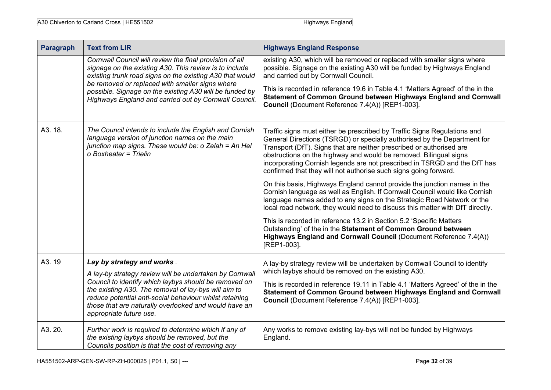| A30 Chiverton to Carland Cross   HE551502 | Highways England |
|-------------------------------------------|------------------|
|-------------------------------------------|------------------|

| Paragraph | <b>Text from LIR</b>                                                                                                                                                                                                                                                                                                                                  | <b>Highways England Response</b>                                                                                                                                                                                                                                                                                                                                                                                                                   |
|-----------|-------------------------------------------------------------------------------------------------------------------------------------------------------------------------------------------------------------------------------------------------------------------------------------------------------------------------------------------------------|----------------------------------------------------------------------------------------------------------------------------------------------------------------------------------------------------------------------------------------------------------------------------------------------------------------------------------------------------------------------------------------------------------------------------------------------------|
|           | Cornwall Council will review the final provision of all<br>signage on the existing A30. This review is to include<br>existing trunk road signs on the existing A30 that would<br>be removed or replaced with smaller signs where<br>possible. Signage on the existing A30 will be funded by<br>Highways England and carried out by Cornwall Council.  | existing A30, which will be removed or replaced with smaller signs where<br>possible. Signage on the existing A30 will be funded by Highways England<br>and carried out by Cornwall Council.<br>This is recorded in reference 19.6 in Table 4.1 'Matters Agreed' of the in the<br>Statement of Common Ground between Highways England and Cornwall<br>Council (Document Reference 7.4(A)) [REP1-003].                                              |
| A3. 18.   | The Council intends to include the English and Cornish<br>language version of junction names on the main<br>junction map signs. These would be: o Zelah = An Hel<br>o Boxheater = Trielin                                                                                                                                                             | Traffic signs must either be prescribed by Traffic Signs Regulations and<br>General Directions (TSRGD) or specially authorised by the Department for<br>Transport (DfT). Signs that are neither prescribed or authorised are<br>obstructions on the highway and would be removed. Bilingual signs<br>incorporating Cornish legends are not prescribed in TSRGD and the DfT has<br>confirmed that they will not authorise such signs going forward. |
|           |                                                                                                                                                                                                                                                                                                                                                       | On this basis, Highways England cannot provide the junction names in the<br>Cornish language as well as English. If Cornwall Council would like Cornish<br>language names added to any signs on the Strategic Road Network or the<br>local road network, they would need to discuss this matter with DfT directly.                                                                                                                                 |
|           |                                                                                                                                                                                                                                                                                                                                                       | This is recorded in reference 13.2 in Section 5.2 'Specific Matters<br>Outstanding' of the in the Statement of Common Ground between<br>Highways England and Cornwall Council (Document Reference 7.4(A))<br>[REP1-003].                                                                                                                                                                                                                           |
| A3.19     | Lay by strategy and works.<br>A lay-by strategy review will be undertaken by Cornwall<br>Council to identify which laybys should be removed on<br>the existing A30. The removal of lay-bys will aim to<br>reduce potential anti-social behaviour whilst retaining<br>those that are naturally overlooked and would have an<br>appropriate future use. | A lay-by strategy review will be undertaken by Cornwall Council to identify<br>which laybys should be removed on the existing A30.<br>This is recorded in reference 19.11 in Table 4.1 'Matters Agreed' of the in the<br>Statement of Common Ground between Highways England and Cornwall<br>Council (Document Reference 7.4(A)) [REP1-003].                                                                                                       |
| A3.20.    | Further work is required to determine which if any of<br>the existing laybys should be removed, but the<br>Councils position is that the cost of removing any                                                                                                                                                                                         | Any works to remove existing lay-bys will not be funded by Highways<br>England.                                                                                                                                                                                                                                                                                                                                                                    |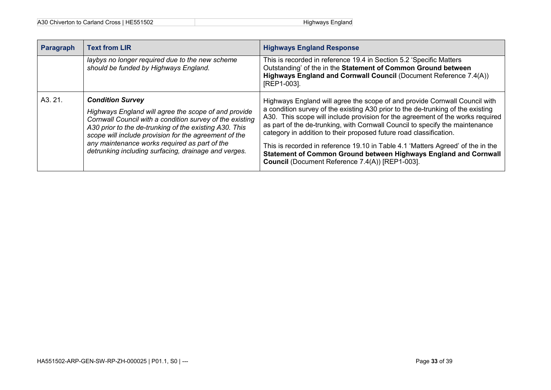| Paragraph | <b>Text from LIR</b>                                                                                                                                                                                                                                                                                                                                                    | <b>Highways England Response</b>                                                                                                                                                                                                                                                                                                                                                                                                                                                                                                                                                                                |
|-----------|-------------------------------------------------------------------------------------------------------------------------------------------------------------------------------------------------------------------------------------------------------------------------------------------------------------------------------------------------------------------------|-----------------------------------------------------------------------------------------------------------------------------------------------------------------------------------------------------------------------------------------------------------------------------------------------------------------------------------------------------------------------------------------------------------------------------------------------------------------------------------------------------------------------------------------------------------------------------------------------------------------|
|           | laybys no longer required due to the new scheme<br>should be funded by Highways England.                                                                                                                                                                                                                                                                                | This is recorded in reference 19.4 in Section 5.2 'Specific Matters<br>Outstanding' of the in the Statement of Common Ground between<br>Highways England and Cornwall Council (Document Reference 7.4(A))<br>[REP1-003].                                                                                                                                                                                                                                                                                                                                                                                        |
| A3.21.    | <b>Condition Survey</b><br>Highways England will agree the scope of and provide<br>Cornwall Council with a condition survey of the existing<br>A30 prior to the de-trunking of the existing A30. This<br>scope will include provision for the agreement of the<br>any maintenance works required as part of the<br>detrunking including surfacing, drainage and verges. | Highways England will agree the scope of and provide Cornwall Council with<br>a condition survey of the existing A30 prior to the de-trunking of the existing<br>A30. This scope will include provision for the agreement of the works required<br>as part of the de-trunking, with Cornwall Council to specify the maintenance<br>category in addition to their proposed future road classification.<br>This is recorded in reference 19.10 in Table 4.1 'Matters Agreed' of the in the<br>Statement of Common Ground between Highways England and Cornwall<br>Council (Document Reference 7.4(A)) [REP1-003]. |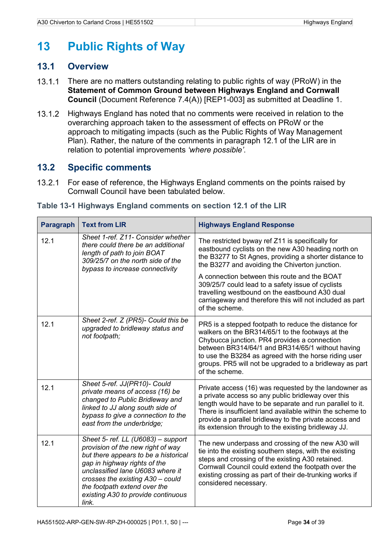## <span id="page-37-0"></span>**13 Public Rights of Way**

#### <span id="page-37-1"></span>**13.1 Overview**

- $13.1.1$ There are no matters outstanding relating to public rights of way (PRoW) in the **Statement of Common Ground between Highways England and Cornwall Council** (Document Reference 7.4(A)) [REP1-003] as submitted at Deadline 1.
- $13.1.2$ Highways England has noted that no comments were received in relation to the overarching approach taken to the assessment of effects on PRoW or the approach to mitigating impacts (such as the Public Rights of Way Management Plan). Rather, the nature of the comments in paragraph 12.1 of the LIR are in relation to potential improvements *'where possible'*.

### <span id="page-37-2"></span>**13.2 Specific comments**

13.2.1 For ease of reference, the Highways England comments on the points raised by Cornwall Council have been tabulated below.

| <b>Paragraph</b> | <b>Text from LIR</b>                                                                                                                                                                                                                                                                                   | <b>Highways England Response</b>                                                                                                                                                                                                                                                                                                                      |
|------------------|--------------------------------------------------------------------------------------------------------------------------------------------------------------------------------------------------------------------------------------------------------------------------------------------------------|-------------------------------------------------------------------------------------------------------------------------------------------------------------------------------------------------------------------------------------------------------------------------------------------------------------------------------------------------------|
| 12.1             | Sheet 1-ref. Z11- Consider whether<br>there could there be an additional<br>length of path to join BOAT<br>309/25/7 on the north side of the<br>bypass to increase connectivity                                                                                                                        | The restricted byway ref Z11 is specifically for<br>eastbound cyclists on the new A30 heading north on<br>the B3277 to St Agnes, providing a shorter distance to<br>the B3277 and avoiding the Chiverton junction.                                                                                                                                    |
|                  |                                                                                                                                                                                                                                                                                                        | A connection between this route and the BOAT<br>309/25/7 could lead to a safety issue of cyclists<br>travelling westbound on the eastbound A30 dual<br>carriageway and therefore this will not included as part<br>of the scheme.                                                                                                                     |
| 12.1             | Sheet 2-ref. Z (PR5)- Could this be<br>upgraded to bridleway status and<br>not footpath;                                                                                                                                                                                                               | PR5 is a stepped footpath to reduce the distance for<br>walkers on the BR314/65/1 to the footways at the<br>Chybucca junction. PR4 provides a connection<br>between BR314/64/1 and BR314/65/1 without having<br>to use the B3284 as agreed with the horse riding user<br>groups. PR5 will not be upgraded to a bridleway as part<br>of the scheme.    |
| 12.1             | Sheet 5-ref. JJ(PR10)- Could<br>private means of access (16) be<br>changed to Public Bridleway and<br>linked to JJ along south side of<br>bypass to give a connection to the<br>east from the underbridge;                                                                                             | Private access (16) was requested by the landowner as<br>a private access so any public bridleway over this<br>length would have to be separate and run parallel to it.<br>There is insufficient land available within the scheme to<br>provide a parallel bridleway to the private access and<br>its extension through to the existing bridleway JJ. |
| 12.1             | Sheet 5- ref. LL (U6083) - support<br>provision of the new right of way<br>but there appears to be a historical<br>gap in highway rights of the<br>unclassified lane U6083 where it<br>crosses the existing A30 - could<br>the footpath extend over the<br>existing A30 to provide continuous<br>link. | The new underpass and crossing of the new A30 will<br>tie into the existing southern steps, with the existing<br>steps and crossing of the existing A30 retained.<br>Cornwall Council could extend the footpath over the<br>existing crossing as part of their de-trunking works if<br>considered necessary.                                          |

#### <span id="page-37-3"></span>**Table 13-1 Highways England comments on section 12.1 of the LIR**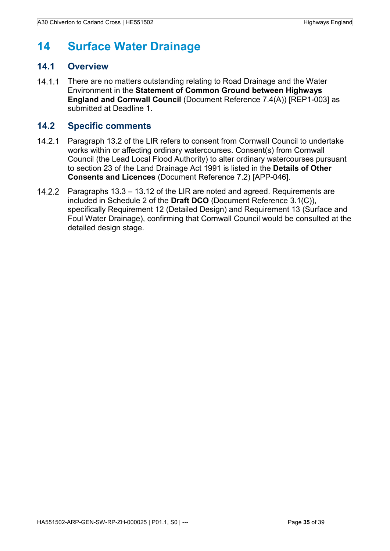## <span id="page-38-0"></span>**14 Surface Water Drainage**

#### <span id="page-38-1"></span>**14.1 Overview**

 $14.1.1$ There are no matters outstanding relating to Road Drainage and the Water Environment in the **Statement of Common Ground between Highways England and Cornwall Council** (Document Reference 7.4(A)) [REP1-003] as submitted at Deadline 1.

#### <span id="page-38-2"></span>**14.2 Specific comments**

- $14.2.1$ Paragraph 13.2 of the LIR refers to consent from Cornwall Council to undertake works within or affecting ordinary watercourses. Consent(s) from Cornwall Council (the Lead Local Flood Authority) to alter ordinary watercourses pursuant to section 23 of the Land Drainage Act 1991 is listed in the **Details of Other Consents and Licences** (Document Reference 7.2) [APP-046].
- $14.2.2$ Paragraphs 13.3 – 13.12 of the LIR are noted and agreed. Requirements are included in Schedule 2 of the **Draft DCO** (Document Reference 3.1(C)), specifically Requirement 12 (Detailed Design) and Requirement 13 (Surface and Foul Water Drainage), confirming that Cornwall Council would be consulted at the detailed design stage.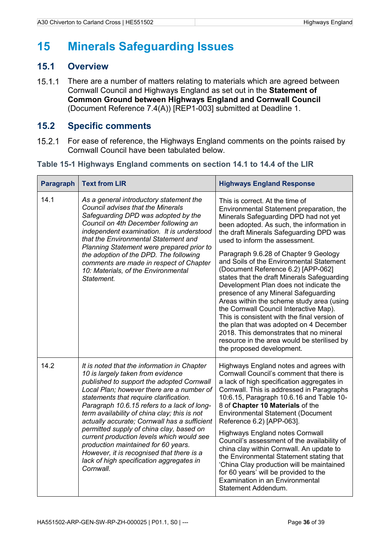## <span id="page-39-0"></span>**15 Minerals Safeguarding Issues**

### <span id="page-39-1"></span>**15.1 Overview**

There are a number of matters relating to materials which are agreed between  $15.1.1$ Cornwall Council and Highways England as set out in the **Statement of Common Ground between Highways England and Cornwall Council** (Document Reference 7.4(A)) [REP1-003] submitted at Deadline 1.

### <span id="page-39-2"></span>**15.2 Specific comments**

For ease of reference, the Highways England comments on the points raised by  $15.2.1$ Cornwall Council have been tabulated below.

<span id="page-39-3"></span>

| Table 15-1 Highways England comments on section 14.1 to 14.4 of the LIR |  |  |  |  |  |  |  |  |
|-------------------------------------------------------------------------|--|--|--|--|--|--|--|--|
|-------------------------------------------------------------------------|--|--|--|--|--|--|--|--|

| <b>Paragraph</b> | <b>Text from LIR</b>                                                                                                                                                                                                                                                                                                                                                                                                                                                                                                                                                                                      | <b>Highways England Response</b>                                                                                                                                                                                                                                                                                                                                                                                                                                                                                                                                                                                                                                                                                                                                                                                    |
|------------------|-----------------------------------------------------------------------------------------------------------------------------------------------------------------------------------------------------------------------------------------------------------------------------------------------------------------------------------------------------------------------------------------------------------------------------------------------------------------------------------------------------------------------------------------------------------------------------------------------------------|---------------------------------------------------------------------------------------------------------------------------------------------------------------------------------------------------------------------------------------------------------------------------------------------------------------------------------------------------------------------------------------------------------------------------------------------------------------------------------------------------------------------------------------------------------------------------------------------------------------------------------------------------------------------------------------------------------------------------------------------------------------------------------------------------------------------|
| 14.1             | As a general introductory statement the<br><b>Council advises that the Minerals</b><br>Safeguarding DPD was adopted by the<br>Council on 4th December following an<br>independent examination. It is understood<br>that the Environmental Statement and<br>Planning Statement were prepared prior to<br>the adoption of the DPD. The following<br>comments are made in respect of Chapter<br>10: Materials, of the Environmental<br>Statement.                                                                                                                                                            | This is correct. At the time of<br>Environmental Statement preparation, the<br>Minerals Safeguarding DPD had not yet<br>been adopted. As such, the information in<br>the draft Minerals Safeguarding DPD was<br>used to inform the assessment.<br>Paragraph 9.6.28 of Chapter 9 Geology<br>and Soils of the Environmental Statement<br>(Document Reference 6.2) [APP-062]<br>states that the draft Minerals Safeguarding<br>Development Plan does not indicate the<br>presence of any Mineral Safeguarding<br>Areas within the scheme study area (using<br>the Cornwall Council Interactive Map).<br>This is consistent with the final version of<br>the plan that was adopted on 4 December<br>2018. This demonstrates that no mineral<br>resource in the area would be sterilised by<br>the proposed development. |
| 14.2             | It is noted that the information in Chapter<br>10 is largely taken from evidence<br>published to support the adopted Cornwall<br>Local Plan; however there are a number of<br>statements that require clarification.<br>Paragraph 10.6.15 refers to a lack of long-<br>term availability of china clay; this is not<br>actually accurate; Cornwall has a sufficient<br>permitted supply of china clay, based on<br>current production levels which would see<br>production maintained for 60 years.<br>However, it is recognised that there is a<br>lack of high specification aggregates in<br>Cornwall. | Highways England notes and agrees with<br>Cornwall Council's comment that there is<br>a lack of high specification aggregates in<br>Cornwall. This is addressed in Paragraphs<br>10:6.15, Paragraph 10.6.16 and Table 10-<br>8 of Chapter 10 Materials of the<br><b>Environmental Statement (Document</b><br>Reference 6.2) [APP-063].<br><b>Highways England notes Cornwall</b><br>Council's assessment of the availability of<br>china clay within Cornwall. An update to<br>the Environmental Statement stating that<br>'China Clay production will be maintained<br>for 60 years' will be provided to the<br><b>Examination in an Environmental</b><br>Statement Addendum.                                                                                                                                      |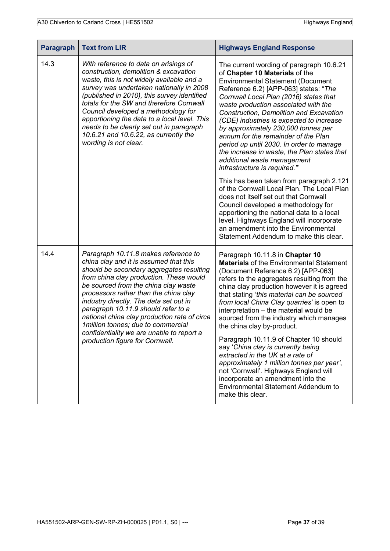| <b>Paragraph</b> | <b>Text from LIR</b>                                                                                                                                                                                                                                                                                                                                                                                                                                                                                           | <b>Highways England Response</b>                                                                                                                                                                                                                                                                                                                                                                                                                                                                                                                                                                                                                                                                                                                      |
|------------------|----------------------------------------------------------------------------------------------------------------------------------------------------------------------------------------------------------------------------------------------------------------------------------------------------------------------------------------------------------------------------------------------------------------------------------------------------------------------------------------------------------------|-------------------------------------------------------------------------------------------------------------------------------------------------------------------------------------------------------------------------------------------------------------------------------------------------------------------------------------------------------------------------------------------------------------------------------------------------------------------------------------------------------------------------------------------------------------------------------------------------------------------------------------------------------------------------------------------------------------------------------------------------------|
| 14.3             | With reference to data on arisings of<br>construction, demolition & excavation<br>waste, this is not widely available and a<br>survey was undertaken nationally in 2008<br>(published in 2010), this survey identified<br>totals for the SW and therefore Cornwall<br>Council developed a methodology for<br>apportioning the data to a local level. This<br>needs to be clearly set out in paragraph<br>10.6.21 and 10.6.22, as currently the<br>wording is not clear.                                        | The current wording of paragraph 10.6.21<br>of Chapter 10 Materials of the<br><b>Environmental Statement (Document</b><br>Reference 6.2) [APP-063] states: "The<br>Cornwall Local Plan (2016) states that<br>waste production associated with the<br><b>Construction, Demolition and Excavation</b><br>(CDE) industries is expected to increase<br>by approximately 230,000 tonnes per<br>annum for the remainder of the Plan<br>period up until 2030. In order to manage<br>the increase in waste, the Plan states that<br>additional waste management<br>infrastructure is required."                                                                                                                                                               |
|                  |                                                                                                                                                                                                                                                                                                                                                                                                                                                                                                                | This has been taken from paragraph 2.121<br>of the Cornwall Local Plan. The Local Plan<br>does not itself set out that Cornwall<br>Council developed a methodology for<br>apportioning the national data to a local<br>level. Highways England will incorporate<br>an amendment into the Environmental<br>Statement Addendum to make this clear.                                                                                                                                                                                                                                                                                                                                                                                                      |
| 14.4             | Paragraph 10.11.8 makes reference to<br>china clay and it is assumed that this<br>should be secondary aggregates resulting<br>from china clay production. These would<br>be sourced from the china clay waste<br>processors rather than the china clay<br>industry directly. The data set out in<br>paragraph 10.11.9 should refer to a<br>national china clay production rate of circa<br>1 million tonnes; due to commercial<br>confidentiality we are unable to report a<br>production figure for Cornwall. | Paragraph 10.11.8 in Chapter 10<br><b>Materials</b> of the Environmental Statement<br>(Document Reference 6.2) [APP-063]<br>refers to the aggregates resulting from the<br>china clay production however it is agreed<br>that stating 'this material can be sourced<br>from local China Clay quarries' is open to<br>interpretation - the material would be<br>sourced from the industry which manages<br>the china clay by-product.<br>Paragraph 10.11.9 of Chapter 10 should<br>say 'China clay is currently being<br>extracted in the UK at a rate of<br>approximately 1 million tonnes per year',<br>not 'Cornwall'. Highways England will<br>incorporate an amendment into the<br><b>Environmental Statement Addendum to</b><br>make this clear. |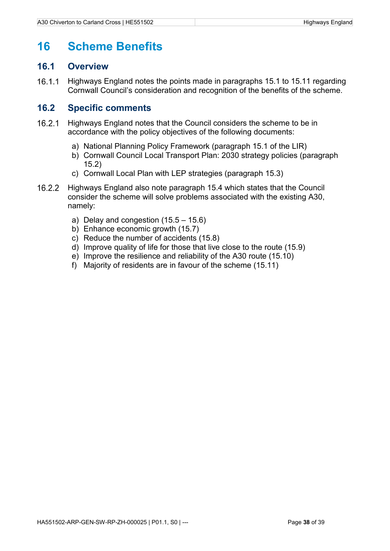### <span id="page-41-0"></span>**16 Scheme Benefits**

#### <span id="page-41-1"></span>**16.1 Overview**

 $16.1.1$ Highways England notes the points made in paragraphs 15.1 to 15.11 regarding Cornwall Council's consideration and recognition of the benefits of the scheme.

### <span id="page-41-2"></span>**16.2 Specific comments**

- $16.2.1$ Highways England notes that the Council considers the scheme to be in accordance with the policy objectives of the following documents:
	- a) National Planning Policy Framework (paragraph 15.1 of the LIR)
	- b) Cornwall Council Local Transport Plan: 2030 strategy policies (paragraph 15.2)
	- c) Cornwall Local Plan with LEP strategies (paragraph 15.3)
- $16.2.2$ Highways England also note paragraph 15.4 which states that the Council consider the scheme will solve problems associated with the existing A30, namely:
	- a) Delay and congestion (15.5 15.6)
	- b) Enhance economic growth (15.7)
	- c) Reduce the number of accidents (15.8)
	- d) Improve quality of life for those that live close to the route (15.9)
	- e) Improve the resilience and reliability of the A30 route (15.10)
	- f) Majority of residents are in favour of the scheme (15.11)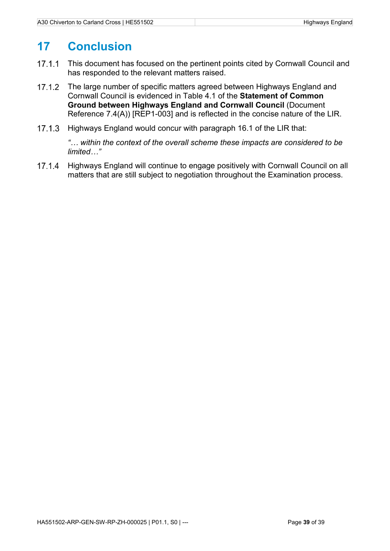## <span id="page-42-0"></span>**17 Conclusion**

- $17.1.1$ This document has focused on the pertinent points cited by Cornwall Council and has responded to the relevant matters raised.
- $17.1.2$ The large number of specific matters agreed between Highways England and Cornwall Council is evidenced in Table 4.1 of the **Statement of Common Ground between Highways England and Cornwall Council** (Document Reference 7.4(A)) [REP1-003] and is reflected in the concise nature of the LIR.
- $17.1.3$ Highways England would concur with paragraph 16.1 of the LIR that:

*"… within the context of the overall scheme these impacts are considered to be limited…"*

Highways England will continue to engage positively with Cornwall Council on all  $17.1.4$ matters that are still subject to negotiation throughout the Examination process.